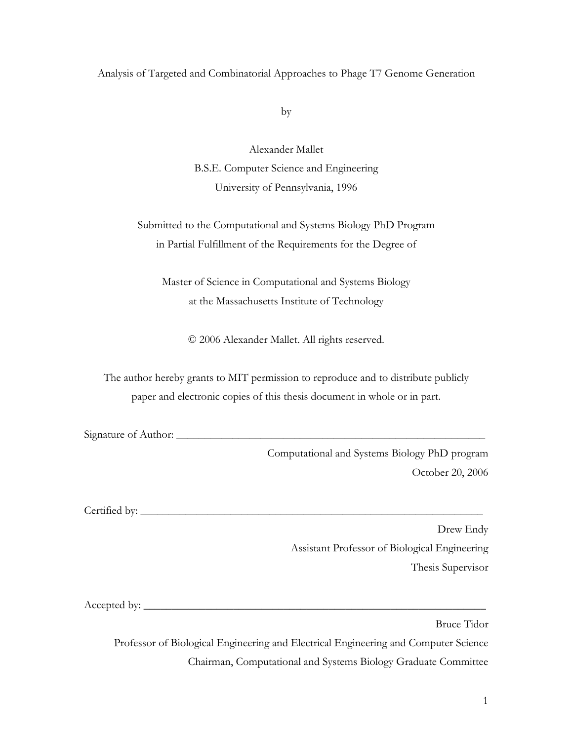### Analysis of Targeted and Combinatorial Approaches to Phage T7 Genome Generation

by

Alexander Mallet B.S.E. Computer Science and Engineering University of Pennsylvania, 1996

Submitted to the Computational and Systems Biology PhD Program in Partial Fulfillment of the Requirements for the Degree of

Master of Science in Computational and Systems Biology at the Massachusetts Institute of Technology

© 2006 Alexander Mallet. All rights reserved.

The author hereby grants to MIT permission to reproduce and to distribute publicly paper and electronic copies of this thesis document in whole or in part.

Signature of Author: \_\_\_\_\_\_\_\_\_\_\_\_\_\_\_\_\_\_\_\_\_\_\_\_\_\_\_\_\_\_\_\_\_\_\_\_\_\_\_\_\_\_\_\_\_\_\_\_\_\_\_\_\_\_\_

Computational and Systems Biology PhD program October 20, 2006

Certified by: \_\_\_\_\_\_\_\_\_\_\_\_\_\_\_\_\_\_\_\_\_\_\_\_\_\_\_\_\_\_\_\_\_\_\_\_\_\_\_\_\_\_\_\_\_\_\_\_\_\_\_\_\_\_\_\_\_\_\_\_\_

Drew Endy Assistant Professor of Biological Engineering Thesis Supervisor

Accepted by: \_\_\_\_\_\_\_\_\_\_\_\_\_\_\_\_\_\_\_\_\_\_\_\_\_\_\_\_\_\_\_\_\_\_\_\_\_\_\_\_\_\_\_\_\_\_\_\_\_\_\_\_\_\_\_\_\_\_\_\_\_

Bruce Tidor

Professor of Biological Engineering and Electrical Engineering and Computer Science Chairman, Computational and Systems Biology Graduate Committee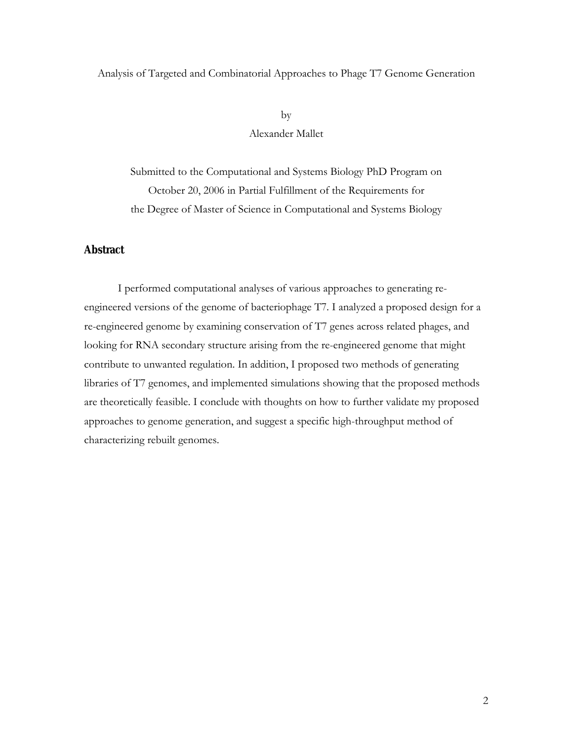### Analysis of Targeted and Combinatorial Approaches to Phage T7 Genome Generation

by Alexander Mallet

Submitted to the Computational and Systems Biology PhD Program on October 20, 2006 in Partial Fulfillment of the Requirements for the Degree of Master of Science in Computational and Systems Biology

#### **Abstract**

I performed computational analyses of various approaches to generating reengineered versions of the genome of bacteriophage T7. I analyzed a proposed design for a re-engineered genome by examining conservation of T7 genes across related phages, and looking for RNA secondary structure arising from the re-engineered genome that might contribute to unwanted regulation. In addition, I proposed two methods of generating libraries of T7 genomes, and implemented simulations showing that the proposed methods are theoretically feasible. I conclude with thoughts on how to further validate my proposed approaches to genome generation, and suggest a specific high-throughput method of characterizing rebuilt genomes.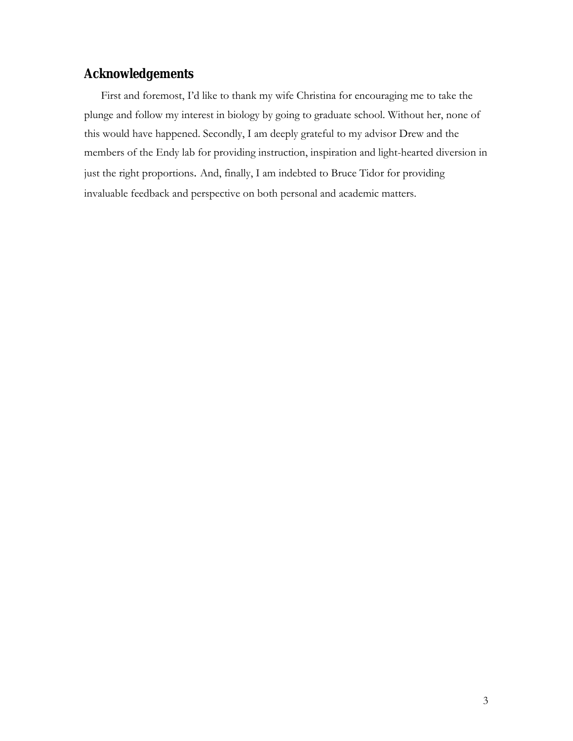# **Acknowledgements**

First and foremost, I'd like to thank my wife Christina for encouraging me to take the plunge and follow my interest in biology by going to graduate school. Without her, none of this would have happened. Secondly, I am deeply grateful to my advisor Drew and the members of the Endy lab for providing instruction, inspiration and light-hearted diversion in just the right proportions. And, finally, I am indebted to Bruce Tidor for providing invaluable feedback and perspective on both personal and academic matters.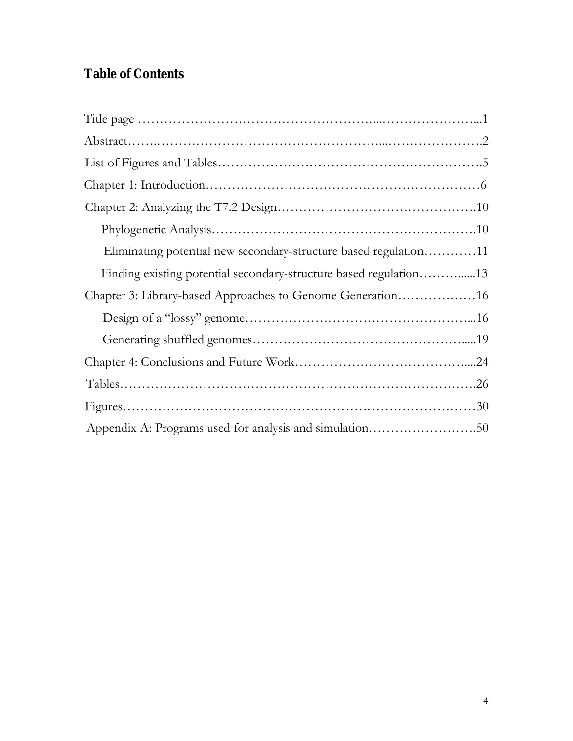# **Table of Contents**

| Eliminating potential new secondary-structure based regulation11  |  |
|-------------------------------------------------------------------|--|
| Finding existing potential secondary-structure based regulation13 |  |
| Chapter 3: Library-based Approaches to Genome Generation16        |  |
|                                                                   |  |
|                                                                   |  |
|                                                                   |  |
|                                                                   |  |
|                                                                   |  |
|                                                                   |  |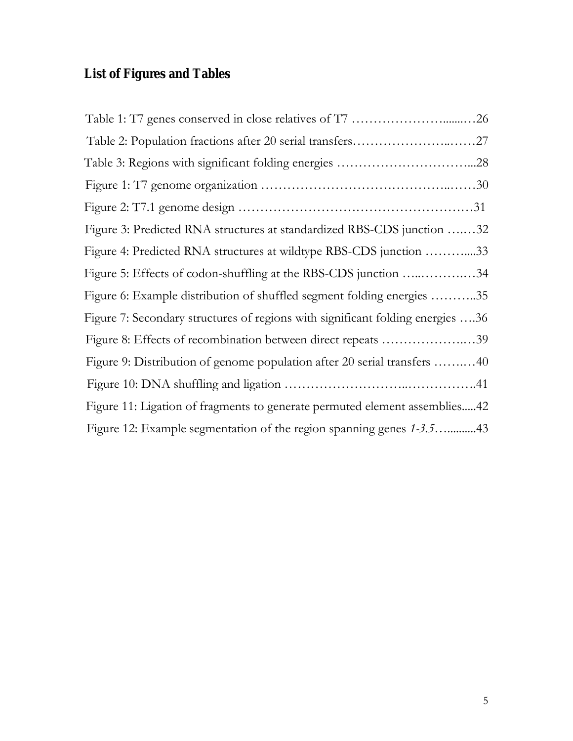# **List of Figures and Tables**

| Table 2: Population fractions after 20 serial transfers27                      |
|--------------------------------------------------------------------------------|
|                                                                                |
|                                                                                |
|                                                                                |
| Figure 3: Predicted RNA structures at standardized RBS-CDS junction 32         |
| Figure 4: Predicted RNA structures at wildtype RBS-CDS junction 33             |
| Figure 5: Effects of codon-shuffling at the RBS-CDS junction 34                |
| Figure 6: Example distribution of shuffled segment folding energies 35         |
| Figure 7: Secondary structures of regions with significant folding energies 36 |
| Figure 8: Effects of recombination between direct repeats 39                   |
| Figure 9: Distribution of genome population after 20 serial transfers 40       |
|                                                                                |
| Figure 11: Ligation of fragments to generate permuted element assemblies42     |
|                                                                                |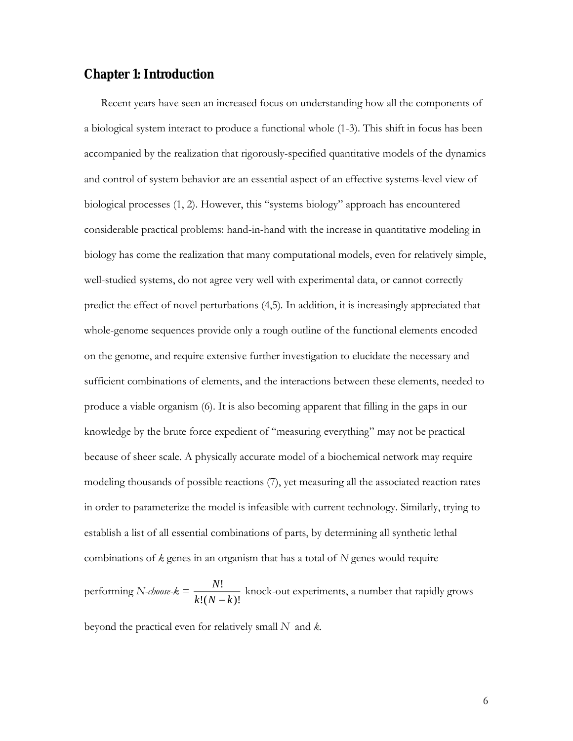## **Chapter 1: Introduction**

Recent years have seen an increased focus on understanding how all the components of a biological system interact to produce a functional whole (1-3). This shift in focus has been accompanied by the realization that rigorously-specified quantitative models of the dynamics and control of system behavior are an essential aspect of an effective systems-level view of biological processes (1, 2). However, this "systems biology" approach has encountered considerable practical problems: hand-in-hand with the increase in quantitative modeling in biology has come the realization that many computational models, even for relatively simple, well-studied systems, do not agree very well with experimental data, or cannot correctly predict the effect of novel perturbations (4,5)*.* In addition, it is increasingly appreciated that whole-genome sequences provide only a rough outline of the functional elements encoded on the genome, and require extensive further investigation to elucidate the necessary and sufficient combinations of elements, and the interactions between these elements, needed to produce a viable organism (6). It is also becoming apparent that filling in the gaps in our knowledge by the brute force expedient of "measuring everything" may not be practical because of sheer scale. A physically accurate model of a biochemical network may require modeling thousands of possible reactions (7), yet measuring all the associated reaction rates in order to parameterize the model is infeasible with current technology. Similarly, trying to establish a list of all essential combinations of parts, by determining all synthetic lethal combinations of *k* genes in an organism that has a total of *N* genes would require

performing *N-choose-k =*   $!( N - k)!$ !  $k!(N-k)$ *N*  $\frac{1}{(k-1)(k-1)}$  knock-out experiments, a number that rapidly grows

beyond the practical even for relatively small *N* and *k.*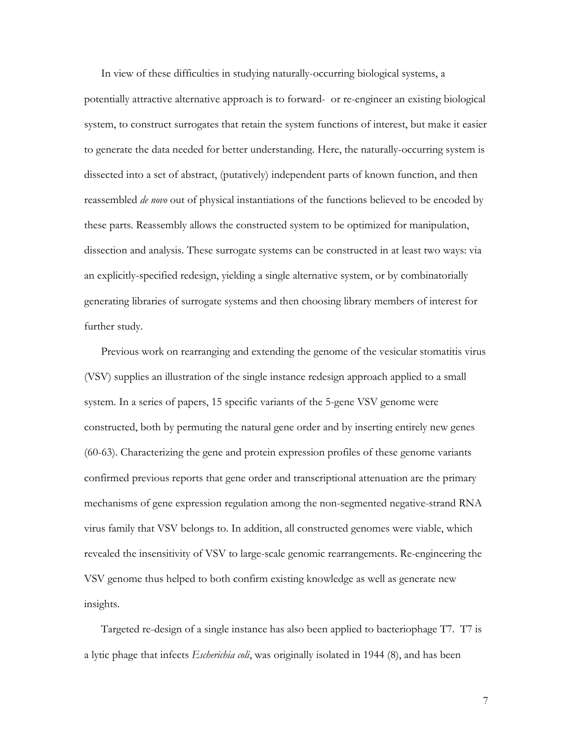In view of these difficulties in studying naturally-occurring biological systems, a potentially attractive alternative approach is to forward- or re-engineer an existing biological system, to construct surrogates that retain the system functions of interest, but make it easier to generate the data needed for better understanding. Here, the naturally-occurring system is dissected into a set of abstract, (putatively) independent parts of known function, and then reassembled *de novo* out of physical instantiations of the functions believed to be encoded by these parts. Reassembly allows the constructed system to be optimized for manipulation, dissection and analysis. These surrogate systems can be constructed in at least two ways: via an explicitly-specified redesign, yielding a single alternative system, or by combinatorially generating libraries of surrogate systems and then choosing library members of interest for further study.

Previous work on rearranging and extending the genome of the vesicular stomatitis virus (VSV) supplies an illustration of the single instance redesign approach applied to a small system. In a series of papers, 15 specific variants of the 5-gene VSV genome were constructed, both by permuting the natural gene order and by inserting entirely new genes (60-63). Characterizing the gene and protein expression profiles of these genome variants confirmed previous reports that gene order and transcriptional attenuation are the primary mechanisms of gene expression regulation among the non-segmented negative-strand RNA virus family that VSV belongs to. In addition, all constructed genomes were viable, which revealed the insensitivity of VSV to large-scale genomic rearrangements. Re-engineering the VSV genome thus helped to both confirm existing knowledge as well as generate new insights.

Targeted re-design of a single instance has also been applied to bacteriophage T7. T7 is a lytic phage that infects *Escherichia coli*, was originally isolated in 1944 (8), and has been

7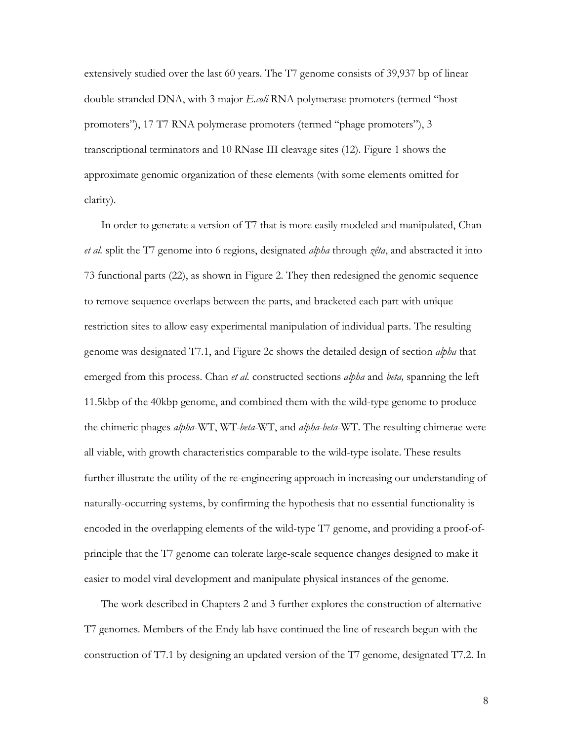extensively studied over the last 60 years. The T7 genome consists of 39,937 bp of linear double-stranded DNA, with 3 major *E.coli* RNA polymerase promoters (termed "host promoters"), 17 T7 RNA polymerase promoters (termed "phage promoters"), 3 transcriptional terminators and 10 RNase III cleavage sites (12). Figure 1 shows the approximate genomic organization of these elements (with some elements omitted for clarity).

In order to generate a version of T7 that is more easily modeled and manipulated, Chan *et al.* split the T7 genome into 6 regions, designated *alpha* through *zêta*, and abstracted it into 73 functional parts (22), as shown in Figure 2. They then redesigned the genomic sequence to remove sequence overlaps between the parts, and bracketed each part with unique restriction sites to allow easy experimental manipulation of individual parts. The resulting genome was designated T7.1, and Figure 2c shows the detailed design of section *alpha* that emerged from this process. Chan *et al.* constructed sections *alpha* and *beta,* spanning the left 11.5kbp of the 40kbp genome, and combined them with the wild-type genome to produce the chimeric phages *alpha*-WT, WT*-beta-*WT, and *alpha-beta*-WT. The resulting chimerae were all viable, with growth characteristics comparable to the wild-type isolate. These results further illustrate the utility of the re-engineering approach in increasing our understanding of naturally-occurring systems, by confirming the hypothesis that no essential functionality is encoded in the overlapping elements of the wild-type T7 genome, and providing a proof-ofprinciple that the T7 genome can tolerate large-scale sequence changes designed to make it easier to model viral development and manipulate physical instances of the genome.

The work described in Chapters 2 and 3 further explores the construction of alternative T7 genomes. Members of the Endy lab have continued the line of research begun with the construction of T7.1 by designing an updated version of the T7 genome, designated T7.2. In

8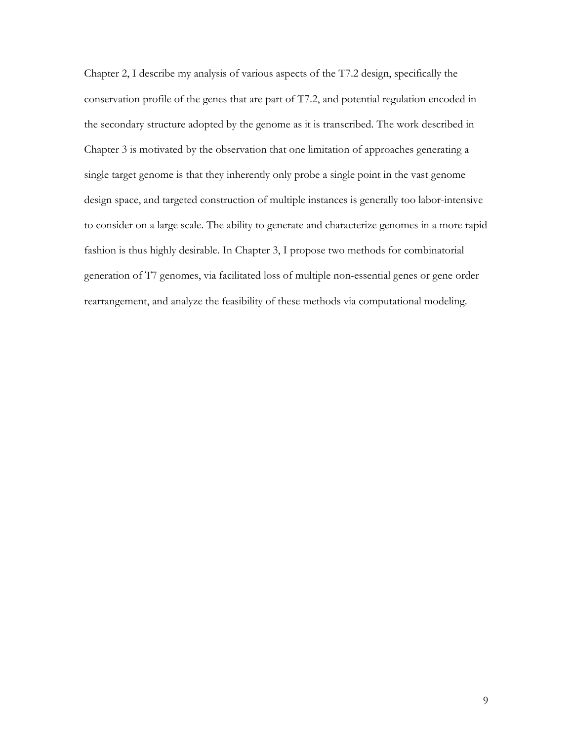Chapter 2, I describe my analysis of various aspects of the T7.2 design, specifically the conservation profile of the genes that are part of T7.2, and potential regulation encoded in the secondary structure adopted by the genome as it is transcribed. The work described in Chapter 3 is motivated by the observation that one limitation of approaches generating a single target genome is that they inherently only probe a single point in the vast genome design space, and targeted construction of multiple instances is generally too labor-intensive to consider on a large scale. The ability to generate and characterize genomes in a more rapid fashion is thus highly desirable. In Chapter 3, I propose two methods for combinatorial generation of T7 genomes, via facilitated loss of multiple non-essential genes or gene order rearrangement, and analyze the feasibility of these methods via computational modeling.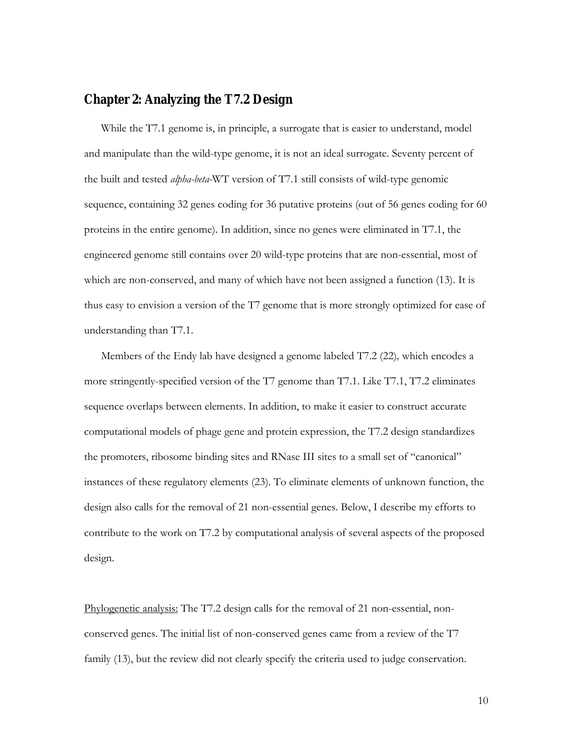### **Chapter 2: Analyzing the T7.2 Design**

While the T7.1 genome is, in principle, a surrogate that is easier to understand, model and manipulate than the wild-type genome, it is not an ideal surrogate. Seventy percent of the built and tested *alpha-beta-*WT version of T7.1 still consists of wild-type genomic sequence, containing 32 genes coding for 36 putative proteins (out of 56 genes coding for 60 proteins in the entire genome). In addition, since no genes were eliminated in T7.1, the engineered genome still contains over 20 wild-type proteins that are non-essential, most of which are non-conserved, and many of which have not been assigned a function (13). It is thus easy to envision a version of the T7 genome that is more strongly optimized for ease of understanding than T7.1.

Members of the Endy lab have designed a genome labeled T7.2 (22)*,* which encodes a more stringently-specified version of the T7 genome than T7.1. Like T7.1, T7.2 eliminates sequence overlaps between elements. In addition, to make it easier to construct accurate computational models of phage gene and protein expression, the T7.2 design standardizes the promoters, ribosome binding sites and RNase III sites to a small set of "canonical" instances of these regulatory elements (23). To eliminate elements of unknown function, the design also calls for the removal of 21 non-essential genes. Below, I describe my efforts to contribute to the work on T7.2 by computational analysis of several aspects of the proposed design.

Phylogenetic analysis: The T7.2 design calls for the removal of 21 non-essential, nonconserved genes. The initial list of non-conserved genes came from a review of the T7 family (13), but the review did not clearly specify the criteria used to judge conservation.

10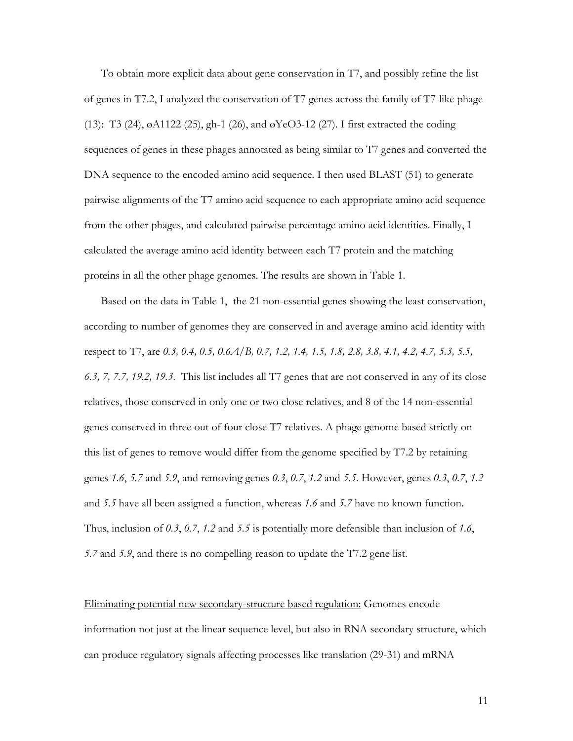To obtain more explicit data about gene conservation in T7, and possibly refine the list of genes in T7.2, I analyzed the conservation of T7 genes across the family of T7-like phage (13): T3 (24), øA1122 (25), gh-1 (26), and øYeO3-12 (27). I first extracted the coding sequences of genes in these phages annotated as being similar to T7 genes and converted the DNA sequence to the encoded amino acid sequence. I then used BLAST (51) to generate pairwise alignments of the T7 amino acid sequence to each appropriate amino acid sequence from the other phages, and calculated pairwise percentage amino acid identities. Finally, I calculated the average amino acid identity between each T7 protein and the matching proteins in all the other phage genomes. The results are shown in Table 1.

Based on the data in Table 1, the 21 non-essential genes showing the least conservation, according to number of genomes they are conserved in and average amino acid identity with respect to T7, are *0.3, 0.4, 0.5, 0.6A/B, 0.7, 1.2, 1.4, 1.5, 1.8, 2.8, 3.8, 4.1, 4.2, 4.7, 5.3, 5.5, 6.3, 7, 7.7, 19.2, 19.3*. This list includes all T7 genes that are not conserved in any of its close relatives, those conserved in only one or two close relatives, and 8 of the 14 non-essential genes conserved in three out of four close T7 relatives. A phage genome based strictly on this list of genes to remove would differ from the genome specified by T7.2 by retaining genes *1.6*, *5.7* and *5.9*, and removing genes *0.3*, *0.7*, *1.2* and *5.5*. However, genes *0.3*, *0.7*, *1.2* and *5.5* have all been assigned a function, whereas *1.6* and *5.7* have no known function. Thus, inclusion of *0.3*, *0.7*, *1.2* and *5.5* is potentially more defensible than inclusion of *1.6*, *5.7* and *5.9*, and there is no compelling reason to update the T7.2 gene list.

Eliminating potential new secondary-structure based regulation: Genomes encode information not just at the linear sequence level, but also in RNA secondary structure, which can produce regulatory signals affecting processes like translation (29-31) and mRNA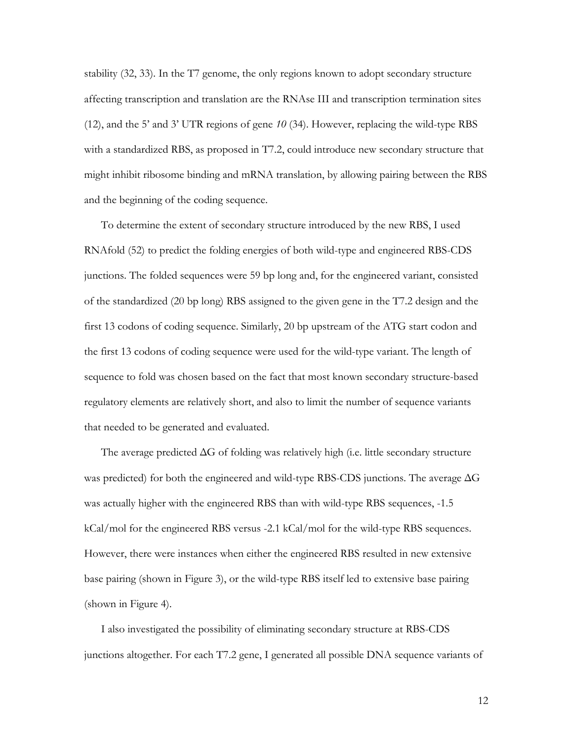stability (32, 33). In the T7 genome, the only regions known to adopt secondary structure affecting transcription and translation are the RNAse III and transcription termination sites (12), and the 5' and 3' UTR regions of gene *10* (34). However, replacing the wild-type RBS with a standardized RBS, as proposed in T7.2, could introduce new secondary structure that might inhibit ribosome binding and mRNA translation, by allowing pairing between the RBS and the beginning of the coding sequence.

To determine the extent of secondary structure introduced by the new RBS, I used RNAfold (52) to predict the folding energies of both wild-type and engineered RBS-CDS junctions. The folded sequences were 59 bp long and, for the engineered variant, consisted of the standardized (20 bp long) RBS assigned to the given gene in the T7.2 design and the first 13 codons of coding sequence. Similarly, 20 bp upstream of the ATG start codon and the first 13 codons of coding sequence were used for the wild-type variant. The length of sequence to fold was chosen based on the fact that most known secondary structure-based regulatory elements are relatively short, and also to limit the number of sequence variants that needed to be generated and evaluated.

The average predicted ΔG of folding was relatively high (i.e. little secondary structure was predicted) for both the engineered and wild-type RBS-CDS junctions. The average ΔG was actually higher with the engineered RBS than with wild-type RBS sequences, -1.5 kCal/mol for the engineered RBS versus -2.1 kCal/mol for the wild-type RBS sequences. However, there were instances when either the engineered RBS resulted in new extensive base pairing (shown in Figure 3), or the wild-type RBS itself led to extensive base pairing (shown in Figure 4).

I also investigated the possibility of eliminating secondary structure at RBS-CDS junctions altogether. For each T7.2 gene, I generated all possible DNA sequence variants of

12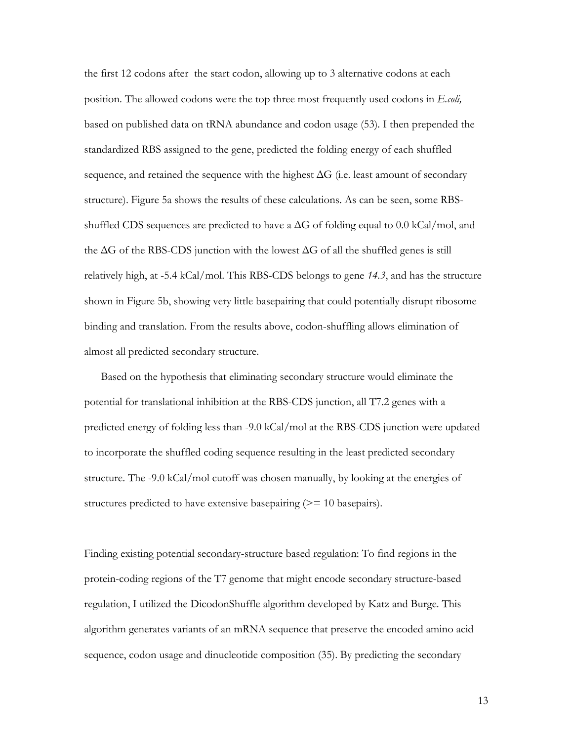the first 12 codons after the start codon, allowing up to 3 alternative codons at each position. The allowed codons were the top three most frequently used codons in *E.coli,*  based on published data on tRNA abundance and codon usage (53)*.* I then prepended the standardized RBS assigned to the gene, predicted the folding energy of each shuffled sequence, and retained the sequence with the highest  $\Delta G$  (i.e. least amount of secondary structure). Figure 5a shows the results of these calculations. As can be seen, some RBSshuffled CDS sequences are predicted to have a  $\Delta G$  of folding equal to 0.0 kCal/mol, and the  $\Delta G$  of the RBS-CDS junction with the lowest  $\Delta G$  of all the shuffled genes is still relatively high, at -5.4 kCal/mol. This RBS-CDS belongs to gene *14.3*, and has the structure shown in Figure 5b, showing very little basepairing that could potentially disrupt ribosome binding and translation. From the results above, codon-shuffling allows elimination of almost all predicted secondary structure.

Based on the hypothesis that eliminating secondary structure would eliminate the potential for translational inhibition at the RBS-CDS junction, all T7.2 genes with a predicted energy of folding less than -9.0 kCal/mol at the RBS-CDS junction were updated to incorporate the shuffled coding sequence resulting in the least predicted secondary structure. The -9.0 kCal/mol cutoff was chosen manually, by looking at the energies of structures predicted to have extensive basepairing  $(>= 10 \text{ basepairs}).$ 

Finding existing potential secondary-structure based regulation: To find regions in the protein-coding regions of the T7 genome that might encode secondary structure-based regulation, I utilized the DicodonShuffle algorithm developed by Katz and Burge. This algorithm generates variants of an mRNA sequence that preserve the encoded amino acid sequence, codon usage and dinucleotide composition (35). By predicting the secondary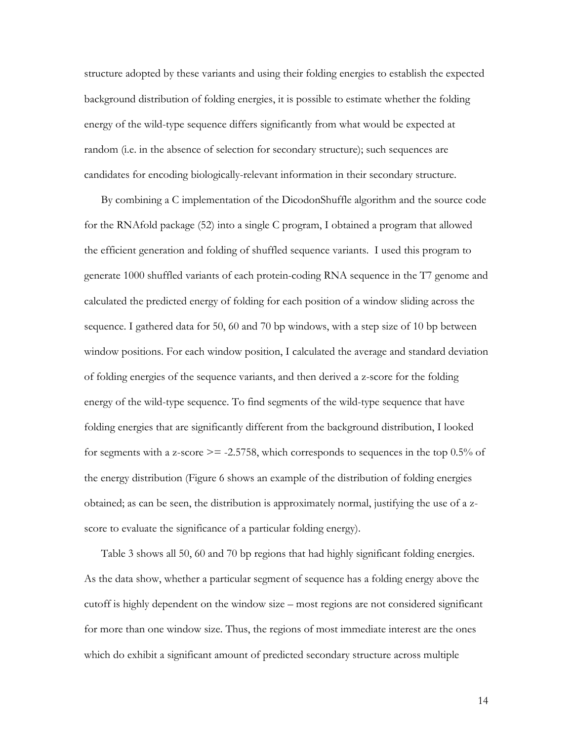structure adopted by these variants and using their folding energies to establish the expected background distribution of folding energies, it is possible to estimate whether the folding energy of the wild-type sequence differs significantly from what would be expected at random (i.e. in the absence of selection for secondary structure); such sequences are candidates for encoding biologically-relevant information in their secondary structure.

By combining a C implementation of the DicodonShuffle algorithm and the source code for the RNAfold package (52) into a single C program, I obtained a program that allowed the efficient generation and folding of shuffled sequence variants. I used this program to generate 1000 shuffled variants of each protein-coding RNA sequence in the T7 genome and calculated the predicted energy of folding for each position of a window sliding across the sequence. I gathered data for 50, 60 and 70 bp windows, with a step size of 10 bp between window positions. For each window position, I calculated the average and standard deviation of folding energies of the sequence variants, and then derived a z-score for the folding energy of the wild-type sequence. To find segments of the wild-type sequence that have folding energies that are significantly different from the background distribution, I looked for segments with a z-score  $\ge$  = -2.5758, which corresponds to sequences in the top 0.5% of the energy distribution (Figure 6 shows an example of the distribution of folding energies obtained; as can be seen, the distribution is approximately normal, justifying the use of a zscore to evaluate the significance of a particular folding energy).

Table 3 shows all 50, 60 and 70 bp regions that had highly significant folding energies. As the data show, whether a particular segment of sequence has a folding energy above the cutoff is highly dependent on the window size – most regions are not considered significant for more than one window size. Thus, the regions of most immediate interest are the ones which do exhibit a significant amount of predicted secondary structure across multiple

14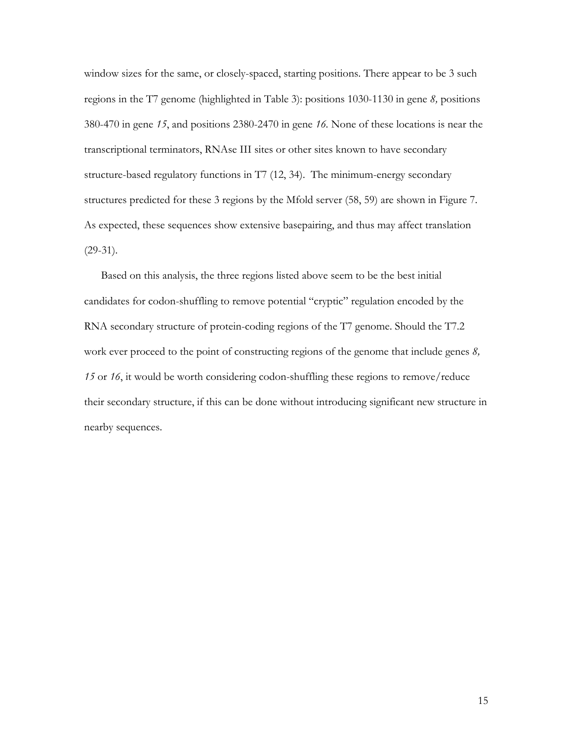window sizes for the same, or closely-spaced, starting positions. There appear to be 3 such regions in the T7 genome (highlighted in Table 3): positions 1030-1130 in gene *8,* positions 380-470 in gene *15*, and positions 2380-2470 in gene *16.* None of these locations is near the transcriptional terminators, RNAse III sites or other sites known to have secondary structure-based regulatory functions in T7 (12, 34). The minimum-energy secondary structures predicted for these 3 regions by the Mfold server (58, 59) are shown in Figure 7. As expected, these sequences show extensive basepairing, and thus may affect translation (29-31).

Based on this analysis, the three regions listed above seem to be the best initial candidates for codon-shuffling to remove potential "cryptic" regulation encoded by the RNA secondary structure of protein-coding regions of the T7 genome. Should the T7.2 work ever proceed to the point of constructing regions of the genome that include genes *8, 15* or *16*, it would be worth considering codon-shuffling these regions to remove/reduce their secondary structure, if this can be done without introducing significant new structure in nearby sequences.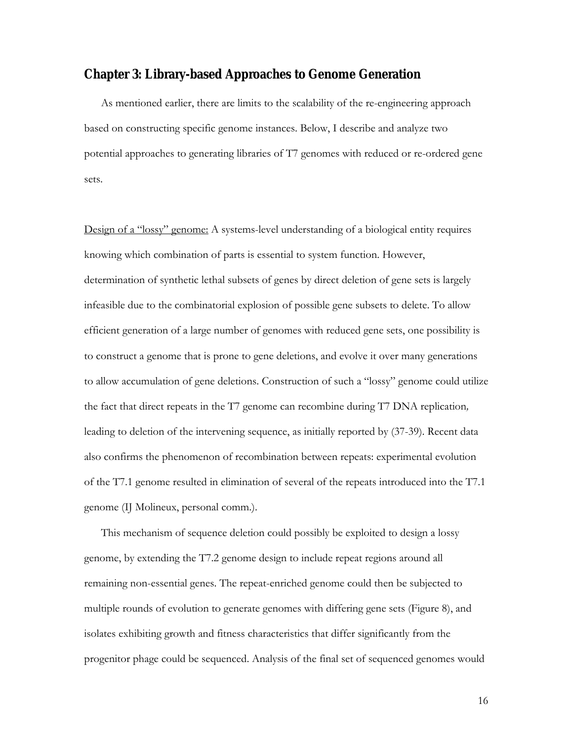### **Chapter 3: Library-based Approaches to Genome Generation**

As mentioned earlier, there are limits to the scalability of the re-engineering approach based on constructing specific genome instances. Below, I describe and analyze two potential approaches to generating libraries of T7 genomes with reduced or re-ordered gene sets.

Design of a "lossy" genome: A systems-level understanding of a biological entity requires knowing which combination of parts is essential to system function. However, determination of synthetic lethal subsets of genes by direct deletion of gene sets is largely infeasible due to the combinatorial explosion of possible gene subsets to delete. To allow efficient generation of a large number of genomes with reduced gene sets, one possibility is to construct a genome that is prone to gene deletions, and evolve it over many generations to allow accumulation of gene deletions. Construction of such a "lossy" genome could utilize the fact that direct repeats in the T7 genome can recombine during T7 DNA replication*,*  leading to deletion of the intervening sequence, as initially reported by (37-39). Recent data also confirms the phenomenon of recombination between repeats: experimental evolution of the T7.1 genome resulted in elimination of several of the repeats introduced into the T7.1 genome (IJ Molineux, personal comm.).

This mechanism of sequence deletion could possibly be exploited to design a lossy genome, by extending the T7.2 genome design to include repeat regions around all remaining non-essential genes. The repeat-enriched genome could then be subjected to multiple rounds of evolution to generate genomes with differing gene sets (Figure 8), and isolates exhibiting growth and fitness characteristics that differ significantly from the progenitor phage could be sequenced. Analysis of the final set of sequenced genomes would

16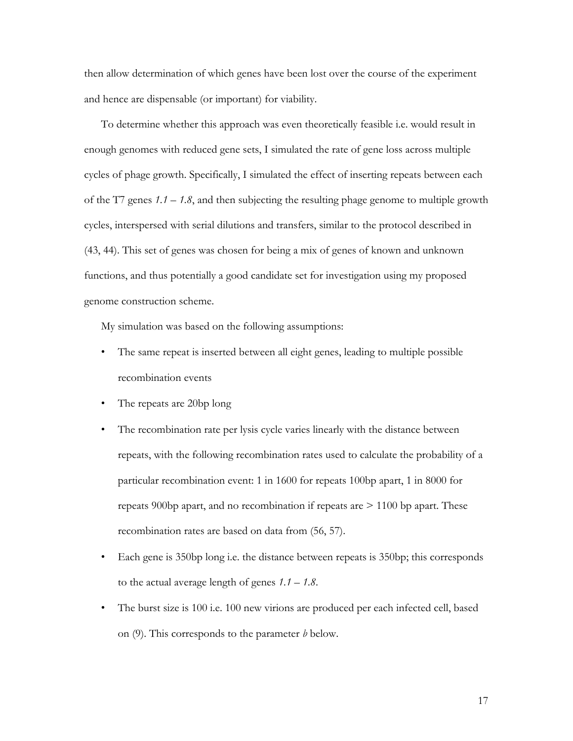then allow determination of which genes have been lost over the course of the experiment and hence are dispensable (or important) for viability.

To determine whether this approach was even theoretically feasible i.e. would result in enough genomes with reduced gene sets, I simulated the rate of gene loss across multiple cycles of phage growth. Specifically, I simulated the effect of inserting repeats between each of the T7 genes *1.1* – *1.8*, and then subjecting the resulting phage genome to multiple growth cycles, interspersed with serial dilutions and transfers, similar to the protocol described in (43, 44). This set of genes was chosen for being a mix of genes of known and unknown functions, and thus potentially a good candidate set for investigation using my proposed genome construction scheme.

My simulation was based on the following assumptions:

- The same repeat is inserted between all eight genes, leading to multiple possible recombination events
- The repeats are 20bp long
- The recombination rate per lysis cycle varies linearly with the distance between repeats, with the following recombination rates used to calculate the probability of a particular recombination event: 1 in 1600 for repeats 100bp apart, 1 in 8000 for repeats 900bp apart, and no recombination if repeats are  $> 1100$  bp apart. These recombination rates are based on data from (56, 57).
- Each gene is 350bp long i.e. the distance between repeats is 350bp; this corresponds to the actual average length of genes *1.1* – *1.8*.
- The burst size is 100 i.e. 100 new virions are produced per each infected cell, based on (9). This corresponds to the parameter *b* below.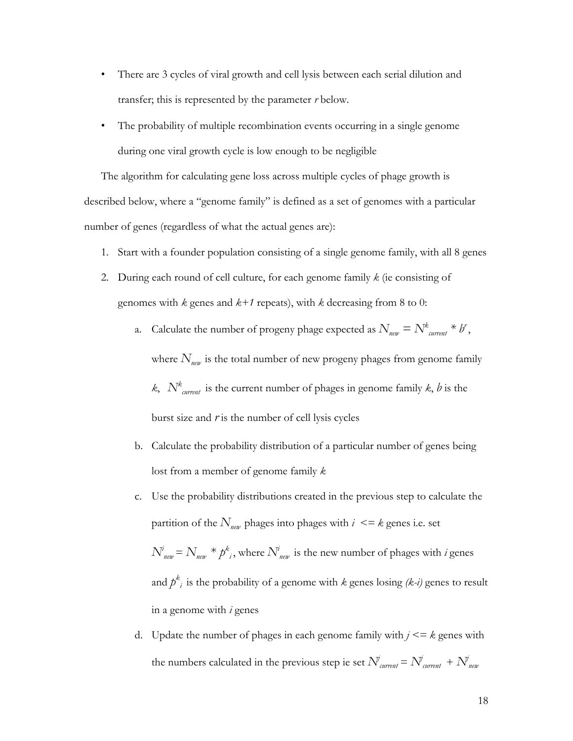- There are 3 cycles of viral growth and cell lysis between each serial dilution and transfer; this is represented by the parameter *r* below.
- The probability of multiple recombination events occurring in a single genome during one viral growth cycle is low enough to be negligible

The algorithm for calculating gene loss across multiple cycles of phage growth is described below, where a "genome family" is defined as a set of genomes with a particular number of genes (regardless of what the actual genes are):

- 1. Start with a founder population consisting of a single genome family, with all 8 genes
- 2. During each round of cell culture, for each genome family *k* (ie consisting of genomes with *k* genes and *k+1* repeats), with *k* decreasing from 8 to 0:
	- a. Calculate the number of progeny phage expected as  $N_{\text{new}} = N_{\text{current}}^k * b$ ,

where  $N_{\text{new}}$  is the total number of new progeny phages from genome family

*k*,  $N^k$ <sub>current</sub> is the current number of phages in genome family *k*, *b* is the burst size and  $r$  is the number of cell lysis cycles

- b. Calculate the probability distribution of a particular number of genes being lost from a member of genome family *k*
- c. Use the probability distributions created in the previous step to calculate the partition of the  $N_{\text{new}}$  phages into phages with  $i \leq k$  genes i.e. set  $N_{\textit{new}}^i = N_{\textit{new}} * p^k$ , where  $N_{\textit{new}}^i$  is the new number of phages with *i* genes and  $p^k_i$  is the probability of a genome with  $k$  genes losing *(k-i)* genes to result in a genome with *i* genes
- d. Update the number of phages in each genome family with *j <= k* genes with the numbers calculated in the previous step ie set  $N^{j}_{\text{current}} = N^{j}_{\text{current}} + N^{j}_{\text{new}}$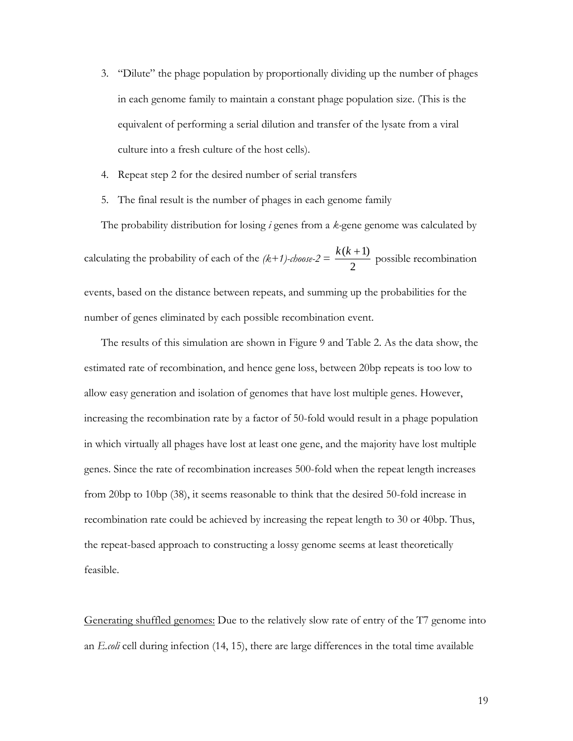- 3. "Dilute" the phage population by proportionally dividing up the number of phages in each genome family to maintain a constant phage population size. (This is the equivalent of performing a serial dilution and transfer of the lysate from a viral culture into a fresh culture of the host cells).
- 4. Repeat step 2 for the desired number of serial transfers
- 5. The final result is the number of phages in each genome family

The probability distribution for losing *i* genes from a *k-*gene genome was calculated by calculating the probability of each of the  $(k+1)$ -choose-2 = 2  $k(k + 1)$  possible recombination events, based on the distance between repeats, and summing up the probabilities for the number of genes eliminated by each possible recombination event.

The results of this simulation are shown in Figure 9 and Table 2. As the data show, the estimated rate of recombination, and hence gene loss, between 20bp repeats is too low to allow easy generation and isolation of genomes that have lost multiple genes. However, increasing the recombination rate by a factor of 50-fold would result in a phage population in which virtually all phages have lost at least one gene, and the majority have lost multiple genes. Since the rate of recombination increases 500-fold when the repeat length increases from 20bp to 10bp (38), it seems reasonable to think that the desired 50-fold increase in recombination rate could be achieved by increasing the repeat length to 30 or 40bp. Thus, the repeat-based approach to constructing a lossy genome seems at least theoretically feasible.

Generating shuffled genomes: Due to the relatively slow rate of entry of the T7 genome into an *E.coli* cell during infection (14, 15), there are large differences in the total time available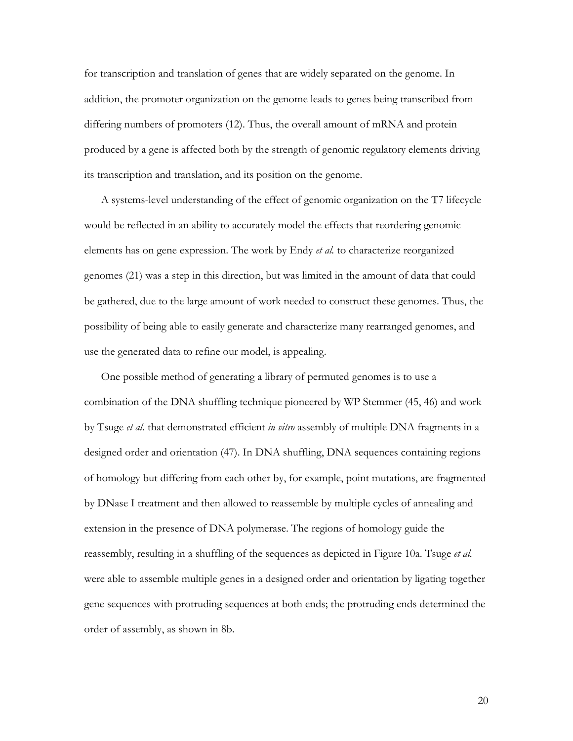for transcription and translation of genes that are widely separated on the genome. In addition, the promoter organization on the genome leads to genes being transcribed from differing numbers of promoters (12). Thus, the overall amount of mRNA and protein produced by a gene is affected both by the strength of genomic regulatory elements driving its transcription and translation, and its position on the genome.

A systems-level understanding of the effect of genomic organization on the T7 lifecycle would be reflected in an ability to accurately model the effects that reordering genomic elements has on gene expression. The work by Endy *et al.* to characterize reorganized genomes (21) was a step in this direction, but was limited in the amount of data that could be gathered, due to the large amount of work needed to construct these genomes. Thus, the possibility of being able to easily generate and characterize many rearranged genomes, and use the generated data to refine our model, is appealing.

One possible method of generating a library of permuted genomes is to use a combination of the DNA shuffling technique pioneered by WP Stemmer (45, 46) and work by Tsuge *et al.* that demonstrated efficient *in vitro* assembly of multiple DNA fragments in a designed order and orientation (47). In DNA shuffling, DNA sequences containing regions of homology but differing from each other by, for example, point mutations, are fragmented by DNase I treatment and then allowed to reassemble by multiple cycles of annealing and extension in the presence of DNA polymerase. The regions of homology guide the reassembly, resulting in a shuffling of the sequences as depicted in Figure 10a. Tsuge *et al.* were able to assemble multiple genes in a designed order and orientation by ligating together gene sequences with protruding sequences at both ends; the protruding ends determined the order of assembly, as shown in 8b.

20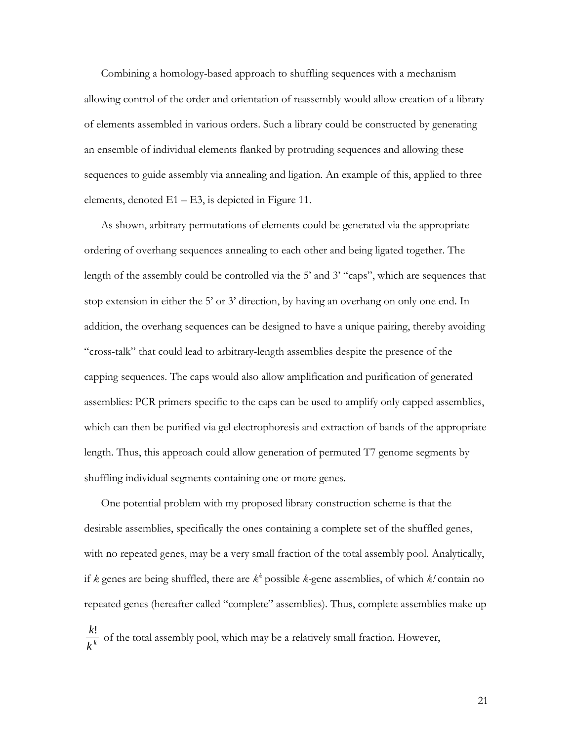Combining a homology-based approach to shuffling sequences with a mechanism allowing control of the order and orientation of reassembly would allow creation of a library of elements assembled in various orders. Such a library could be constructed by generating an ensemble of individual elements flanked by protruding sequences and allowing these sequences to guide assembly via annealing and ligation. An example of this, applied to three elements, denoted  $E1 - E3$ , is depicted in Figure 11.

As shown, arbitrary permutations of elements could be generated via the appropriate ordering of overhang sequences annealing to each other and being ligated together. The length of the assembly could be controlled via the 5' and 3' "caps", which are sequences that stop extension in either the 5' or 3' direction, by having an overhang on only one end. In addition, the overhang sequences can be designed to have a unique pairing, thereby avoiding "cross-talk" that could lead to arbitrary-length assemblies despite the presence of the capping sequences. The caps would also allow amplification and purification of generated assemblies: PCR primers specific to the caps can be used to amplify only capped assemblies, which can then be purified via gel electrophoresis and extraction of bands of the appropriate length. Thus, this approach could allow generation of permuted T7 genome segments by shuffling individual segments containing one or more genes.

One potential problem with my proposed library construction scheme is that the desirable assemblies, specifically the ones containing a complete set of the shuffled genes, with no repeated genes, may be a very small fraction of the total assembly pool. Analytically, if *k* genes are being shuffled, there are  $k^k$  possible *k*-gene assemblies, of which *k!* contain no repeated genes (hereafter called "complete" assemblies). Thus, complete assemblies make up *k k k*! of the total assembly pool, which may be a relatively small fraction. However,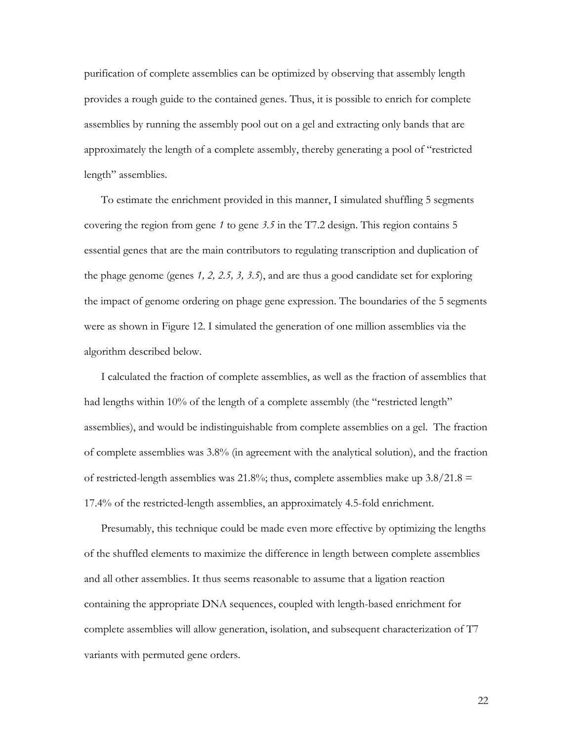purification of complete assemblies can be optimized by observing that assembly length provides a rough guide to the contained genes. Thus, it is possible to enrich for complete assemblies by running the assembly pool out on a gel and extracting only bands that are approximately the length of a complete assembly, thereby generating a pool of "restricted length" assemblies.

To estimate the enrichment provided in this manner, I simulated shuffling 5 segments covering the region from gene *1* to gene *3.5* in the T7.2 design. This region contains 5 essential genes that are the main contributors to regulating transcription and duplication of the phage genome (genes *1, 2, 2.5, 3, 3.5*), and are thus a good candidate set for exploring the impact of genome ordering on phage gene expression. The boundaries of the 5 segments were as shown in Figure 12. I simulated the generation of one million assemblies via the algorithm described below.

I calculated the fraction of complete assemblies, as well as the fraction of assemblies that had lengths within 10% of the length of a complete assembly (the "restricted length" assemblies), and would be indistinguishable from complete assemblies on a gel. The fraction of complete assemblies was 3.8% (in agreement with the analytical solution), and the fraction of restricted-length assemblies was 21.8%; thus, complete assemblies make up  $3.8/21.8 =$ 17.4% of the restricted-length assemblies, an approximately 4.5-fold enrichment.

Presumably, this technique could be made even more effective by optimizing the lengths of the shuffled elements to maximize the difference in length between complete assemblies and all other assemblies. It thus seems reasonable to assume that a ligation reaction containing the appropriate DNA sequences, coupled with length-based enrichment for complete assemblies will allow generation, isolation, and subsequent characterization of T7 variants with permuted gene orders.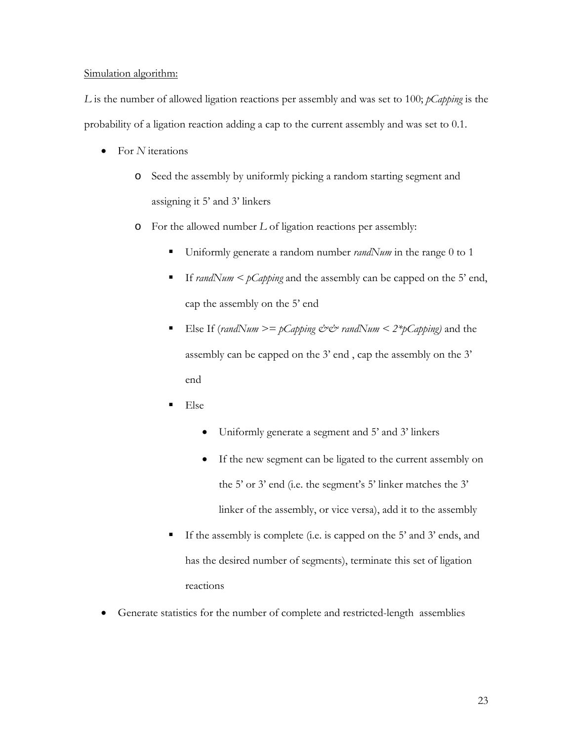### Simulation algorithm:

*L* is the number of allowed ligation reactions per assembly and was set to 100; *pCapping* is the probability of a ligation reaction adding a cap to the current assembly and was set to 0.1.

- For *N* iterations
	- o Seed the assembly by uniformly picking a random starting segment and assigning it 5' and 3' linkers
	- o For the allowed number *L* of ligation reactions per assembly:
		- Uniformly generate a random number *randNum* in the range 0 to 1
		- If *randNum* < *pCapping* and the assembly can be capped on the 5' end, cap the assembly on the 5' end
		- Else If (*randNum*  $\geq$  *pCapping && randNum*  $\lt$  *2\*pCapping*) and the assembly can be capped on the 3' end , cap the assembly on the 3' end
		- $E$ lse
			- Uniformly generate a segment and 5' and 3' linkers
			- If the new segment can be ligated to the current assembly on the 5' or 3' end (i.e. the segment's 5' linker matches the 3' linker of the assembly, or vice versa), add it to the assembly
		- If the assembly is complete (i.e. is capped on the 5' and 3' ends, and has the desired number of segments), terminate this set of ligation reactions
- Generate statistics for the number of complete and restricted-length assemblies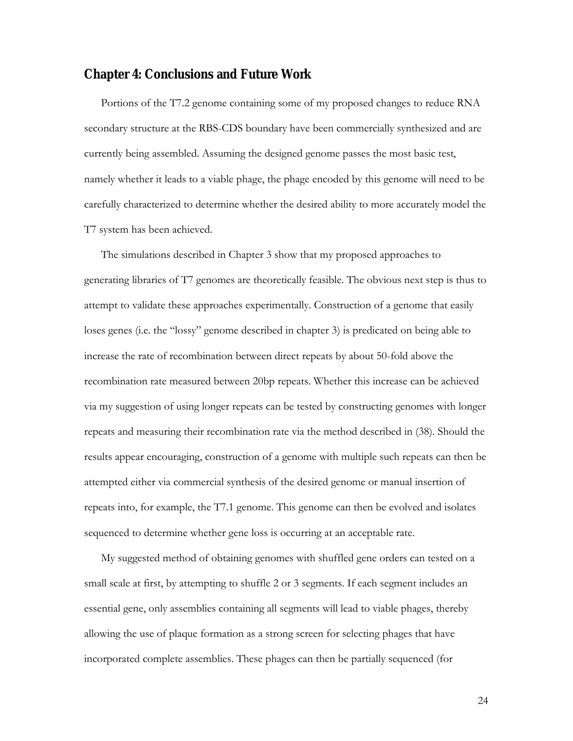## **Chapter 4: Conclusions and Future Work**

Portions of the T7.2 genome containing some of my proposed changes to reduce RNA secondary structure at the RBS-CDS boundary have been commercially synthesized and are currently being assembled. Assuming the designed genome passes the most basic test, namely whether it leads to a viable phage, the phage encoded by this genome will need to be carefully characterized to determine whether the desired ability to more accurately model the T7 system has been achieved.

The simulations described in Chapter 3 show that my proposed approaches to generating libraries of T7 genomes are theoretically feasible. The obvious next step is thus to attempt to validate these approaches experimentally. Construction of a genome that easily loses genes (i.e. the "lossy" genome described in chapter 3) is predicated on being able to increase the rate of recombination between direct repeats by about 50-fold above the recombination rate measured between 20bp repeats. Whether this increase can be achieved via my suggestion of using longer repeats can be tested by constructing genomes with longer repeats and measuring their recombination rate via the method described in (38). Should the results appear encouraging, construction of a genome with multiple such repeats can then be attempted either via commercial synthesis of the desired genome or manual insertion of repeats into, for example, the T7.1 genome. This genome can then be evolved and isolates sequenced to determine whether gene loss is occurring at an acceptable rate.

My suggested method of obtaining genomes with shuffled gene orders can tested on a small scale at first, by attempting to shuffle 2 or 3 segments. If each segment includes an essential gene, only assemblies containing all segments will lead to viable phages, thereby allowing the use of plaque formation as a strong screen for selecting phages that have incorporated complete assemblies. These phages can then be partially sequenced (for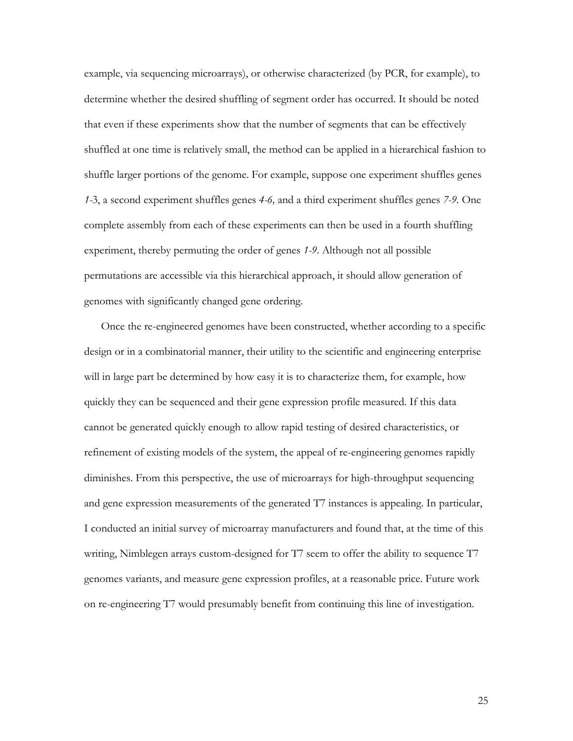example, via sequencing microarrays), or otherwise characterized (by PCR, for example), to determine whether the desired shuffling of segment order has occurred. It should be noted that even if these experiments show that the number of segments that can be effectively shuffled at one time is relatively small, the method can be applied in a hierarchical fashion to shuffle larger portions of the genome. For example, suppose one experiment shuffles genes *1-*3, a second experiment shuffles genes *4-6,* and a third experiment shuffles genes *7-9.* One complete assembly from each of these experiments can then be used in a fourth shuffling experiment, thereby permuting the order of genes *1-9*. Although not all possible permutations are accessible via this hierarchical approach, it should allow generation of genomes with significantly changed gene ordering.

Once the re-engineered genomes have been constructed, whether according to a specific design or in a combinatorial manner, their utility to the scientific and engineering enterprise will in large part be determined by how easy it is to characterize them, for example, how quickly they can be sequenced and their gene expression profile measured. If this data cannot be generated quickly enough to allow rapid testing of desired characteristics, or refinement of existing models of the system, the appeal of re-engineering genomes rapidly diminishes. From this perspective, the use of microarrays for high-throughput sequencing and gene expression measurements of the generated T7 instances is appealing. In particular, I conducted an initial survey of microarray manufacturers and found that, at the time of this writing, Nimblegen arrays custom-designed for T7 seem to offer the ability to sequence T7 genomes variants, and measure gene expression profiles, at a reasonable price. Future work on re-engineering T7 would presumably benefit from continuing this line of investigation.

25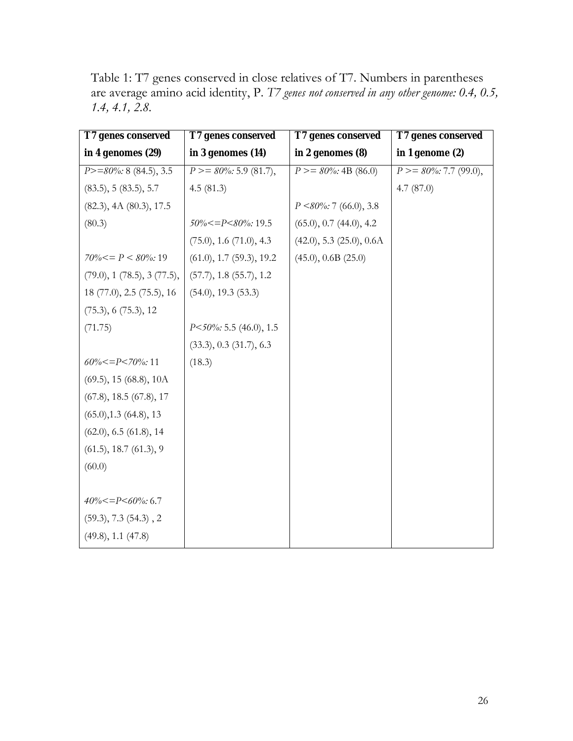Table 1: T7 genes conserved in close relatives of T7. Numbers in parentheses are average amino acid identity, P. *T7 genes not conserved in any other genome: 0.4, 0.5, 1.4, 4.1, 2.8.*

| T7 genes conserved           | T7 genes conserved          | T7 genes conserved           | T7 genes conserved          |
|------------------------------|-----------------------------|------------------------------|-----------------------------|
| in 4 genomes (29)            | in $3$ genomes $(14)$       | in $2$ genomes $(8)$         | in 1 genome $(2)$           |
| $P>=80\%$ : 8 (84.5), 3.5    | $P \geq 80\%$ : 5.9 (81.7), | $P \ge 80\%$ : 4B (86.0)     | $P \geq 80\%$ : 7.7 (99.0), |
| (83.5), 5 (83.5), 5.7        | 4.5(81.3)                   |                              | 4.7 $(87.0)$                |
| (82.3), 4A (80.3), 17.5      |                             | $P \le 80\%$ : 7 (66.0), 3.8 |                             |
| (80.3)                       | $50\% < = P < 80\%$ : 19.5  | $(65.0), 0.7$ $(44.0), 4.2$  |                             |
|                              | (75.0), 1.6 (71.0), 4.3     | (42.0), 5.3 (25.0), 0.6A     |                             |
| $70\% < = P < 80\%$ : 19     | (61.0), 1.7 (59.3), 19.2    | (45.0), 0.6B (25.0)          |                             |
| (79.0), 1 (78.5), 3 (77.5),  | (57.7), 1.8 (55.7), 1.2     |                              |                             |
| 18 (77.0), 2.5 (75.5), 16    | (54.0), 19.3 (53.3)         |                              |                             |
| (75.3), 6 (75.3), 12         |                             |                              |                             |
| (71.75)                      | $P<50\%$ : 5.5 (46.0), 1.5  |                              |                             |
|                              | $(33.3), 0.3$ $(31.7), 6.3$ |                              |                             |
| $60\% < = P < 70\%$ : 11     | (18.3)                      |                              |                             |
| $(69.5)$ , 15 $(68.8)$ , 10A |                             |                              |                             |
| (67.8), 18.5 (67.8), 17      |                             |                              |                             |
| $(65.0), 1.3$ $(64.8), 13$   |                             |                              |                             |
| (62.0), 6.5 (61.8), 14       |                             |                              |                             |
| (61.5), 18.7 (61.3), 9       |                             |                              |                             |
| (60.0)                       |                             |                              |                             |
|                              |                             |                              |                             |
| $40\% < = P < 60\%$ : 6.7    |                             |                              |                             |
| (59.3), 7.3 (54.3), 2        |                             |                              |                             |
| (49.8), 1.1 (47.8)           |                             |                              |                             |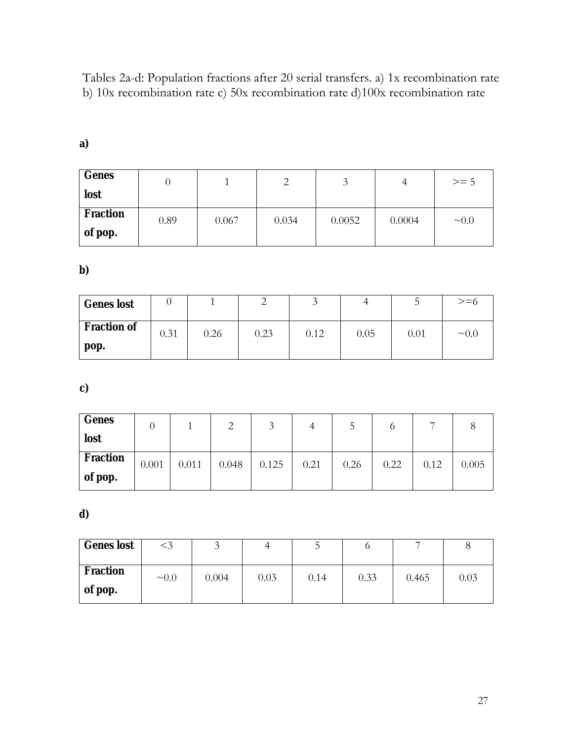Tables 2a-d: Population fractions after 20 serial transfers. a) 1x recombination rate b) 10x recombination rate c) 50x recombination rate d)100x recombination rate

| Genes    |      |       | っ     | 3      | 4      | $>= 5$      |
|----------|------|-------|-------|--------|--------|-------------|
| lost     |      |       |       |        |        |             |
| Fraction | 0.89 | 0.067 | 0.034 | 0.0052 | 0.0004 | $~1$ $~0.0$ |
| of pop.  |      |       |       |        |        |             |

**a)**

**b)**

| <b>Genes</b> lost  |      |      |      |      |      |      | $>= 6$      |
|--------------------|------|------|------|------|------|------|-------------|
| <b>Fraction of</b> | 0.31 | 0.26 | 0.23 | 0.12 | 0.05 | 0.01 | $~1$ $~0.0$ |
| pop.               |      |      |      |      |      |      |             |

**c)**

| Genes    |       |       | $\mathcal{D}$<br>∠ | 3     | 4    | C    |      | −    |       |
|----------|-------|-------|--------------------|-------|------|------|------|------|-------|
| lost     |       |       |                    |       |      |      |      |      |       |
| Fraction | 0.001 | 0.011 | 0.048              | 0.125 | 0.21 | 0.26 | 0.22 | 0.12 | 0.005 |
| of pop.  |       |       |                    |       |      |      |      |      |       |

**d)**

| <b>Genes</b> lost   | <3         |       | 4    |      |      | -     |      |
|---------------------|------------|-------|------|------|------|-------|------|
| Fraction<br>of pop. | $\sim 0.0$ | 0.004 | 0.03 | 0.14 | 0.33 | 0.465 | 0.03 |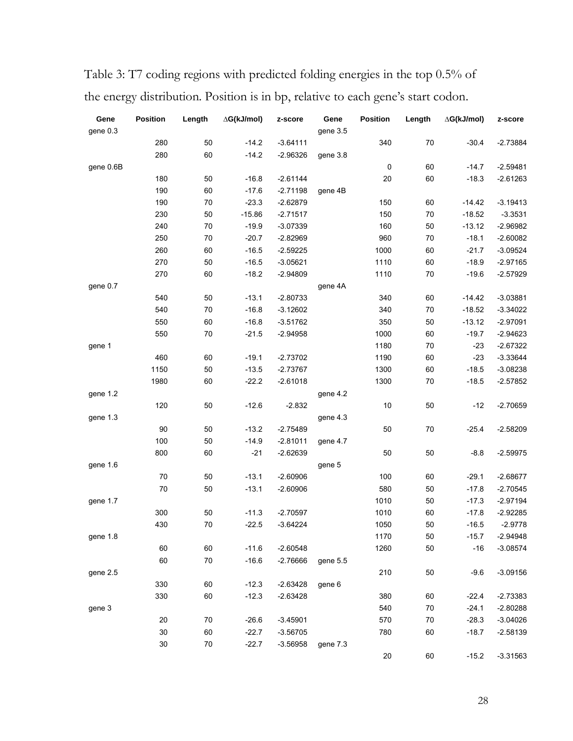| Gene      | <b>Position</b> | Length | ∆G(kJ/mol) | z-score    | Gene     | Position  | Length | ∆G(kJ/mol) | z-score    |
|-----------|-----------------|--------|------------|------------|----------|-----------|--------|------------|------------|
| gene 0.3  |                 |        |            |            | gene 3.5 |           |        |            |            |
|           | 280             | 50     | $-14.2$    | $-3.64111$ |          | 340       | 70     | $-30.4$    | $-2.73884$ |
|           | 280             | 60     | $-14.2$    | $-2.96326$ | gene 3.8 |           |        |            |            |
| gene 0.6B |                 |        |            |            |          | $\pmb{0}$ | 60     | $-14.7$    | $-2.59481$ |
|           | 180             | 50     | $-16.8$    | $-2.61144$ |          | 20        | 60     | $-18.3$    | $-2.61263$ |
|           | 190             | 60     | $-17.6$    | $-2.71198$ | gene 4B  |           |        |            |            |
|           | 190             | $70\,$ | $-23.3$    | $-2.62879$ |          | 150       | 60     | $-14.42$   | $-3.19413$ |
|           | 230             | 50     | $-15.86$   | $-2.71517$ |          | 150       | $70\,$ | $-18.52$   | $-3.3531$  |
|           | 240             | $70\,$ | $-19.9$    | $-3.07339$ |          | 160       | 50     | $-13.12$   | $-2.96982$ |
|           | 250             | $70\,$ | $-20.7$    | $-2.82969$ |          | 960       | 70     | $-18.1$    | $-2.60082$ |
|           | 260             | 60     | $-16.5$    | $-2.59225$ |          | 1000      | 60     | $-21.7$    | $-3.09524$ |
|           | 270             | 50     | $-16.5$    | $-3.05621$ |          | 1110      | 60     | $-18.9$    | $-2.97165$ |
|           | 270             | 60     | $-18.2$    | $-2.94809$ |          | 1110      | 70     | $-19.6$    | $-2.57929$ |
| gene 0.7  |                 |        |            |            | gene 4A  |           |        |            |            |
|           | 540             | 50     | $-13.1$    | $-2.80733$ |          | 340       | 60     | $-14.42$   | $-3.03881$ |
|           | 540             | $70\,$ | $-16.8$    | $-3.12602$ |          | 340       | $70\,$ | $-18.52$   | $-3.34022$ |
|           | 550             | 60     | $-16.8$    | $-3.51762$ |          | 350       | $50\,$ | $-13.12$   | $-2.97091$ |
|           | 550             | 70     | $-21.5$    | $-2.94958$ |          | 1000      | 60     | $-19.7$    | $-2.94623$ |
| gene 1    |                 |        |            |            |          | 1180      | 70     | $-23$      | $-2.67322$ |
|           | 460             | 60     | $-19.1$    | $-2.73702$ |          | 1190      | 60     | $-23$      | $-3.33644$ |
|           | 1150            | 50     | $-13.5$    | $-2.73767$ |          | 1300      | 60     | $-18.5$    | $-3.08238$ |
|           | 1980            | 60     | $-22.2$    | $-2.61018$ |          | 1300      | 70     | $-18.5$    | $-2.57852$ |
| gene 1.2  |                 |        |            |            | gene 4.2 |           |        |            |            |
|           | 120             | 50     | $-12.6$    | $-2.832$   |          | 10        | 50     | $-12$      | $-2.70659$ |
| gene 1.3  |                 |        |            |            | gene 4.3 |           |        |            |            |
|           | 90              | 50     | $-13.2$    | $-2.75489$ |          | 50        | 70     | $-25.4$    | $-2.58209$ |
|           | 100             | 50     | $-14.9$    | $-2.81011$ | gene 4.7 |           |        |            |            |
|           | 800             | 60     | $-21$      | $-2.62639$ |          | 50        | 50     | $-8.8$     | $-2.59975$ |
| gene 1.6  |                 |        |            |            | gene 5   |           |        |            |            |
|           | 70              | 50     | $-13.1$    | $-2.60906$ |          | 100       | 60     | $-29.1$    | $-2.68677$ |
|           | 70              | 50     | $-13.1$    | $-2.60906$ |          | 580       | $50\,$ | $-17.8$    | $-2.70545$ |
| gene 1.7  |                 |        |            |            |          | 1010      | 50     | $-17.3$    | $-2.97194$ |
|           | 300             | 50     | $-11.3$    | $-2.70597$ |          | 1010      | 60     | $-17.8$    | $-2.92285$ |
|           | 430             | 70     | $-22.5$    | $-3.64224$ |          | 1050      | 50     | $-16.5$    | $-2.9778$  |
| gene 1.8  |                 |        |            |            |          | 1170      | 50     | $-15.7$    | $-2.94948$ |
|           | 60              | 60     | $-11.6$    | $-2.60548$ |          | 1260      | 50     | $-16$      | $-3.08574$ |
|           | 60              | 70     | $-16.6$    | $-2.76666$ | gene 5.5 |           |        |            |            |
| gene 2.5  |                 |        |            |            |          | 210       | 50     | $-9.6$     | $-3.09156$ |
|           | 330             | 60     | $-12.3$    | $-2.63428$ | gene 6   |           |        |            |            |
|           | 330             | 60     | $-12.3$    | $-2.63428$ |          | 380       | 60     | $-22.4$    | $-2.73383$ |
| gene 3    |                 |        |            |            |          | 540       | 70     | $-24.1$    | $-2.80288$ |
|           | 20              | 70     | $-26.6$    | $-3.45901$ |          | 570       | $70\,$ | $-28.3$    | $-3.04026$ |
|           | 30              | 60     | $-22.7$    | $-3.56705$ |          | 780       | 60     | $-18.7$    | $-2.58139$ |
|           | 30              | $70\,$ | $-22.7$    | $-3.56958$ | gene 7.3 |           |        |            |            |
|           |                 |        |            |            |          | $20\,$    | 60     | $-15.2$    | $-3.31563$ |

Table 3: T7 coding regions with predicted folding energies in the top 0.5% of the energy distribution. Position is in bp, relative to each gene's start codon.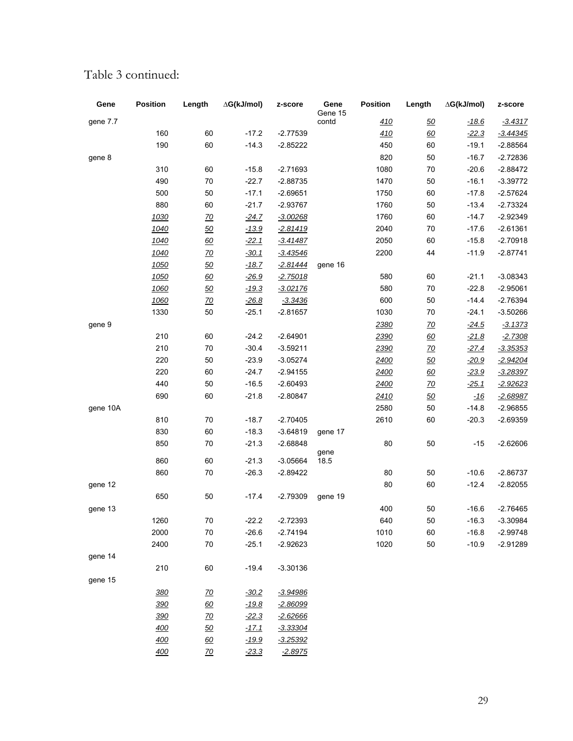| Gene     | Position   | Length    | ∆G(kJ/mol) | z-score    | Gene<br>Gene 15 | Position   | Length    | ∆G(kJ/mol) | z-score         |
|----------|------------|-----------|------------|------------|-----------------|------------|-----------|------------|-----------------|
| gene 7.7 |            |           |            |            | contd           | <u>410</u> | 50        | $-18.6$    | $-3.4317$       |
|          | 160        | 60        | $-17.2$    | $-2.77539$ |                 | 410        | 60        | $-22.3$    | $-3.44345$      |
|          | 190        | 60        | $-14.3$    | $-2.85222$ |                 | 450        | 60        | $-19.1$    | $-2.88564$      |
| gene 8   |            |           |            |            |                 | 820        | 50        | $-16.7$    | $-2.72836$      |
|          | 310        | 60        | $-15.8$    | $-2.71693$ |                 | 1080       | $70\,$    | $-20.6$    | $-2.88472$      |
|          | 490        | 70        | $-22.7$    | $-2.88735$ |                 | 1470       | 50        | $-16.1$    | $-3.39772$      |
|          | 500        | 50        | $-17.1$    | $-2.69651$ |                 | 1750       | 60        | $-17.8$    | $-2.57624$      |
|          | 880        | 60        | $-21.7$    | $-2.93767$ |                 | 1760       | 50        | $-13.4$    | $-2.73324$      |
|          | 1030       | <u>70</u> | $-24.7$    | $-3.00268$ |                 | 1760       | 60        | $-14.7$    | $-2.92349$      |
|          | 1040       | 50        | $-13.9$    | $-2.81419$ |                 | 2040       | $70\,$    | $-17.6$    | $-2.61361$      |
|          | 1040       | 60        | $-22.1$    | $-3.41487$ |                 | 2050       | 60        | $-15.8$    | $-2.70918$      |
|          | 1040       | <u>70</u> | $-30.1$    | $-3.43546$ |                 | 2200       | 44        | $-11.9$    | $-2.87741$      |
|          | 1050       | 50        | $-18.7$    | -2.81444   | gene 16         |            |           |            |                 |
|          | 1050       | 60        | $-26.9$    | $-2.75018$ |                 | 580        | 60        | $-21.1$    | $-3.08343$      |
|          | 1060       | 50        | $-19.3$    | $-3.02176$ |                 | 580        | 70        | $-22.8$    | $-2.95061$      |
|          | 1060       | <u>70</u> | $-26.8$    | $-3.3436$  |                 | 600        | 50        | $-14.4$    | $-2.76394$      |
|          | 1330       | 50        | $-25.1$    | $-2.81657$ |                 | 1030       | $70\,$    | $-24.1$    | $-3.50266$      |
| gene 9   |            |           |            |            |                 | 2380       | <u>70</u> | $-24.5$    | $-3.1373$       |
|          | 210        | 60        | $-24.2$    | $-2.64901$ |                 | 2390       | 60        | $-21.8$    | $-2.7308$       |
|          | 210        | $70\,$    | $-30.4$    | $-3.59211$ |                 | 2390       | <u>70</u> | $-27.4$    | -3.35353        |
|          | 220        | 50        | $-23.9$    | $-3.05274$ |                 | 2400       | 50        | $-20.9$    | <u>-2.94204</u> |
|          | 220        | 60        | $-24.7$    | $-2.94155$ |                 | 2400       | 60        | $-23.9$    | $-3.28397$      |
|          | 440        | 50        | $-16.5$    | $-2.60493$ |                 | 2400       | <u>70</u> | $-25.1$    | $-2.92623$      |
|          | 690        | 60        | $-21.8$    | $-2.80847$ |                 | 2410       | 50        | $-16$      | -2.68987        |
| gene 10A |            |           |            |            |                 | 2580       | 50        | $-14.8$    | $-2.96855$      |
|          | 810        | 70        | $-18.7$    | $-2.70405$ |                 | 2610       | 60        | $-20.3$    | $-2.69359$      |
|          | 830        | 60        | $-18.3$    | $-3.64819$ | gene 17         |            |           |            |                 |
|          | 850        | 70        | $-21.3$    | $-2.68848$ | gene            | 80         | 50        | $-15$      | $-2.62606$      |
|          | 860        | 60        | $-21.3$    | $-3.05664$ | 18.5            |            |           |            |                 |
|          | 860        | 70        | $-26.3$    | $-2.89422$ |                 | 80         | 50        | $-10.6$    | $-2.86737$      |
| gene 12  |            |           |            |            |                 | 80         | 60        | $-12.4$    | $-2.82055$      |
|          | 650        | 50        | $-17.4$    | $-2.79309$ | gene 19         |            |           |            |                 |
| gene 13  |            |           |            |            |                 | 400        | 50        | $-16.6$    | $-2.76465$      |
|          | 1260       | $70\,$    | $-22.2$    | $-2.72393$ |                 | 640        | 50        | $-16.3$    | $-3.30984$      |
|          | 2000       | 70        | $-26.6$    | $-2.74194$ |                 | 1010       | 60        | $-16.8$    | $-2.99748$      |
|          | 2400       | $70\,$    | $-25.1$    | $-2.92623$ |                 | 1020       | 50        | $-10.9$    | $-2.91289$      |
| gene 14  |            |           |            |            |                 |            |           |            |                 |
|          | 210        | 60        | $-19.4$    | $-3.30136$ |                 |            |           |            |                 |
| gene 15  |            |           |            |            |                 |            |           |            |                 |
|          | <u>380</u> | <u>70</u> | $-30.2$    | $-3.94986$ |                 |            |           |            |                 |
|          | 390        | 60        | $-19.8$    | $-2.86099$ |                 |            |           |            |                 |
|          | 390        | <u>70</u> | $-22.3$    | $-2.62666$ |                 |            |           |            |                 |
|          | 400        | 50        | $-17.1$    | -3.33304   |                 |            |           |            |                 |
|          | <u>400</u> | 60        | $-19.9$    | $-3.25392$ |                 |            |           |            |                 |
|          | 400        | <u>70</u> | $-23.3$    | $-2.8975$  |                 |            |           |            |                 |

# Table 3 continued: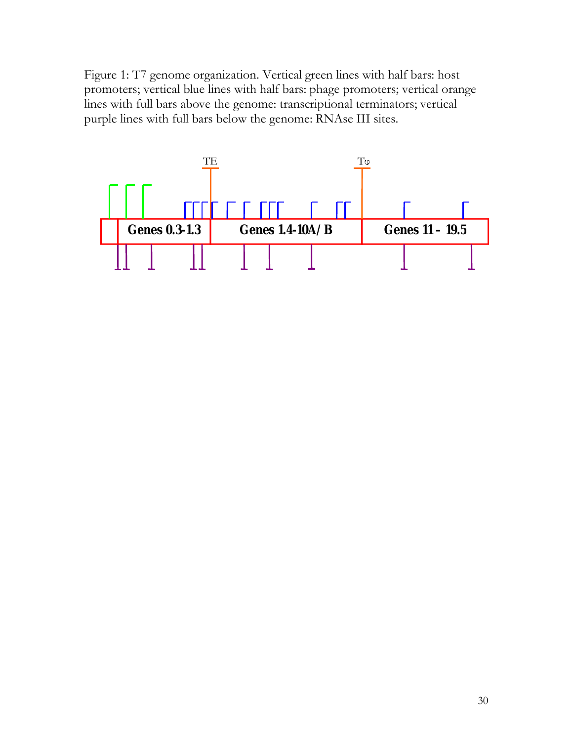Figure 1: T7 genome organization. Vertical green lines with half bars: host promoters; vertical blue lines with half bars: phage promoters; vertical orange lines with full bars above the genome: transcriptional terminators; vertical purple lines with full bars below the genome: RNAse III sites.

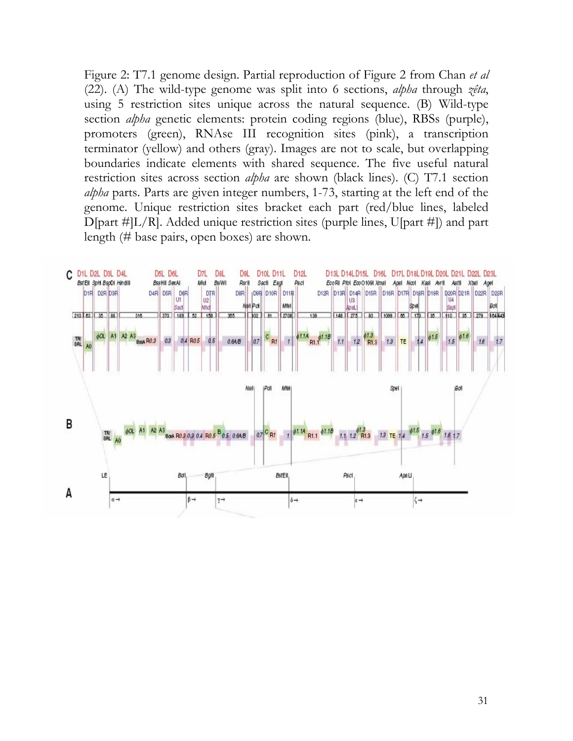Figure 2: T7.1 genome design. Partial reproduction of Figure 2 from Chan *et al*  (22). (A) The wild-type genome was split into 6 sections, *alpha* through *zêta*, using 5 restriction sites unique across the natural sequence. (B) Wild-type section *alpha* genetic elements: protein coding regions (blue), RBSs (purple), promoters (green), RNAse III recognition sites (pink), a transcription terminator (yellow) and others (gray). Images are not to scale, but overlapping boundaries indicate elements with shared sequence. The five useful natural restriction sites across section *alpha* are shown (black lines). (C) T7.1 section *alpha* parts. Parts are given integer numbers, 1-73, starting at the left end of the genome. Unique restriction sites bracket each part (red/blue lines, labeled D[part #]L/R]. Added unique restriction sites (purple lines, U[part #]) and part length (# base pairs, open boxes) are shown.

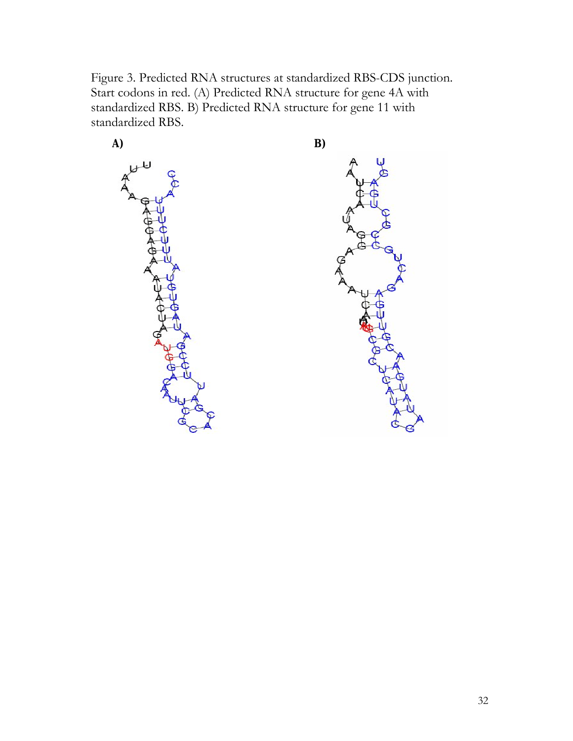Figure 3. Predicted RNA structures at standardized RBS-CDS junction. Start codons in red. (A) Predicted RNA structure for gene 4A with standardized RBS. B) Predicted RNA structure for gene 11 with standardized RBS.

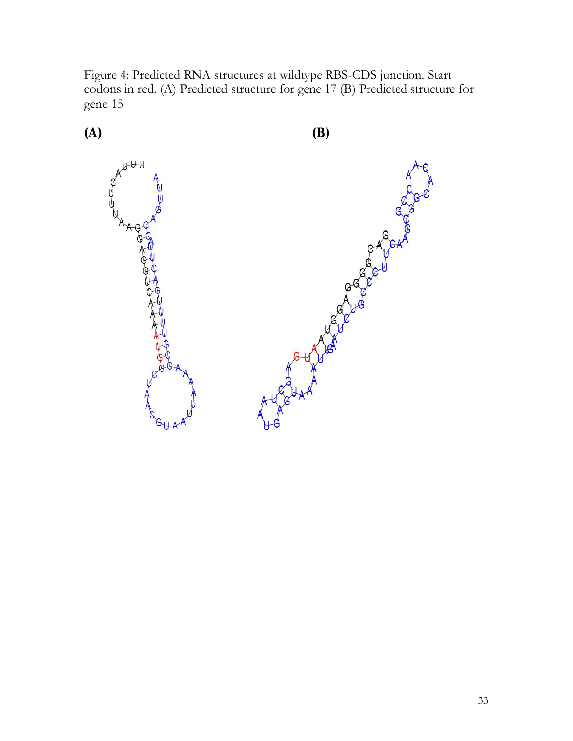Figure 4: Predicted RNA structures at wildtype RBS-CDS junction. Start codons in red. (A) Predicted structure for gene 17 (B) Predicted structure for gene 15

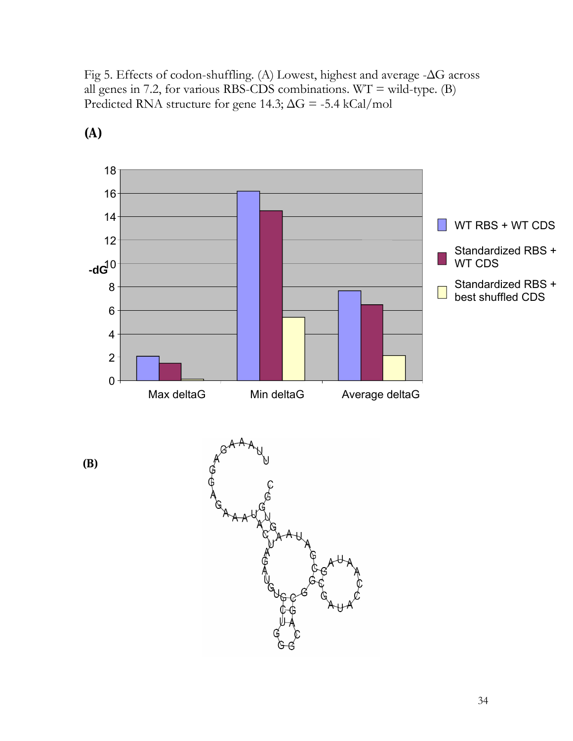Fig 5. Effects of codon-shuffling. (A) Lowest, highest and average -ΔG across all genes in 7.2, for various RBS-CDS combinations.  $WT = wild-type$ . (B) Predicted RNA structure for gene 14.3;  $\Delta G = -5.4$  kCal/mol



**(A)**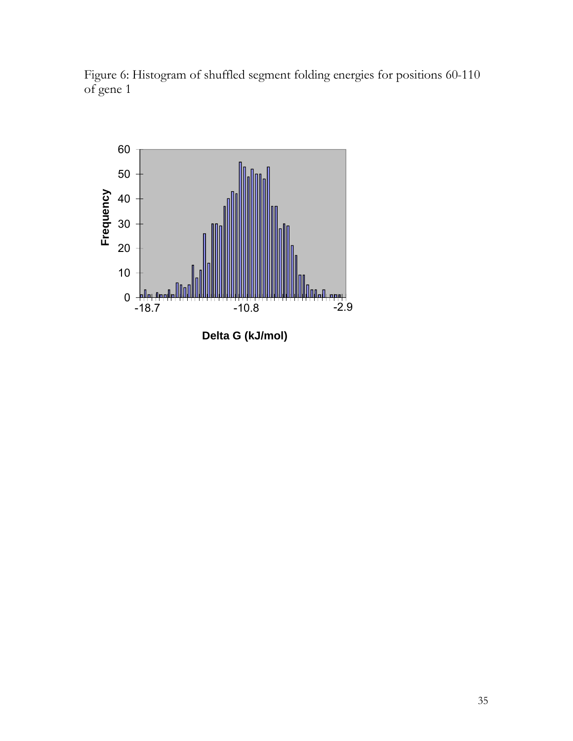Figure 6: Histogram of shuffled segment folding energies for positions 60-110 of gene 1



**Delta G (kJ/mol)**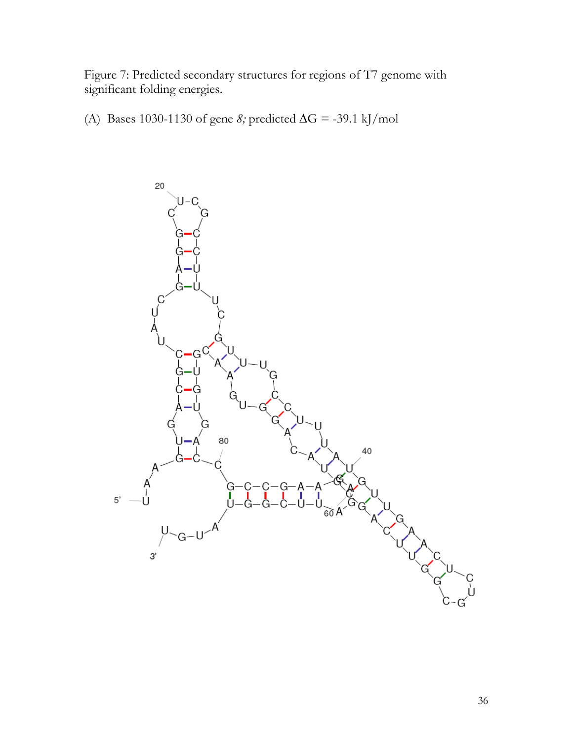Figure 7: Predicted secondary structures for regions of T7 genome with significant folding energies.

(A) Bases 1030-1130 of gene *8;* predicted ∆G = -39.1 kJ/mol

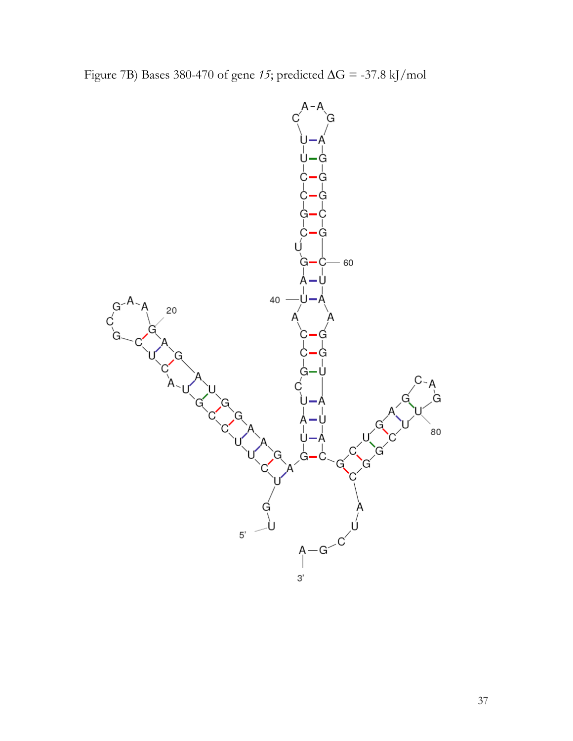Figure 7B) Bases 380-470 of gene *15*; predicted ∆G = -37.8 kJ/mol

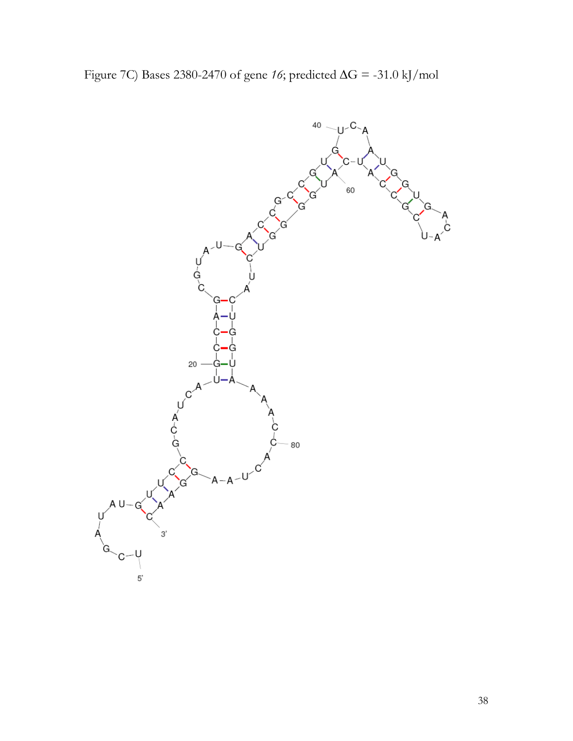Figure 7C) Bases 2380-2470 of gene *16*; predicted ∆G = -31.0 kJ/mol

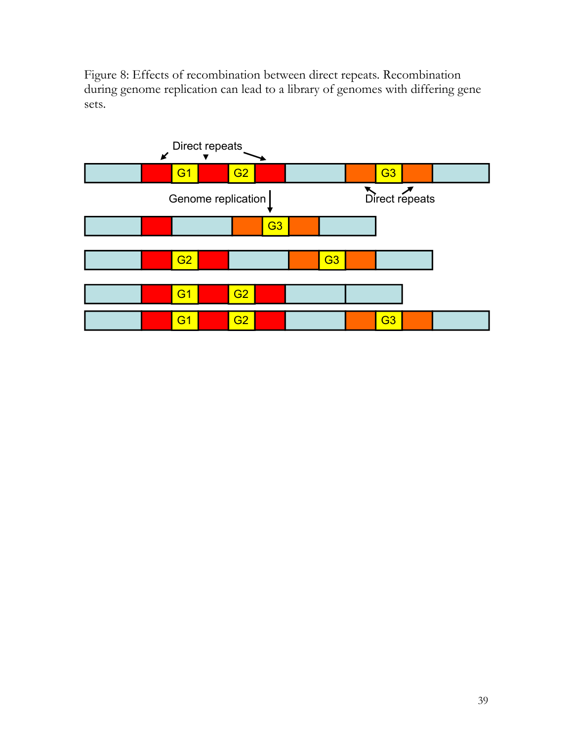Figure 8: Effects of recombination between direct repeats. Recombination during genome replication can lead to a library of genomes with differing gene sets.

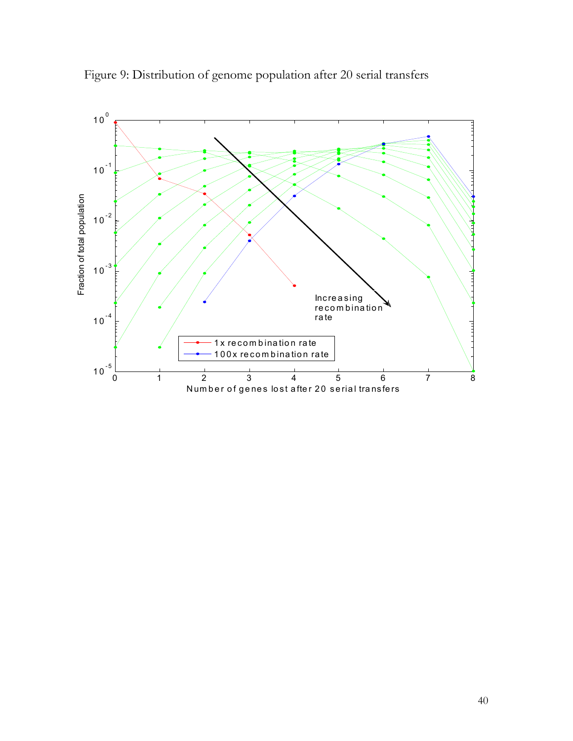

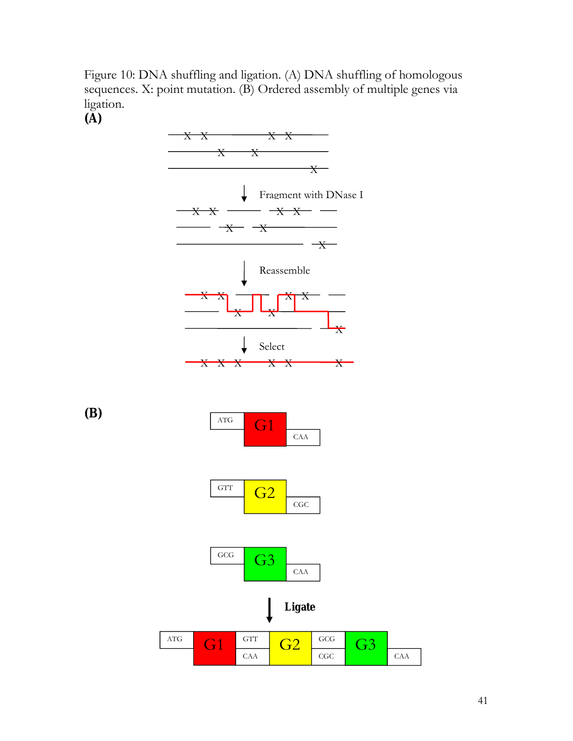Figure 10: DNA shuffling and ligation. (A) DNA shuffling of homologous sequences. X: point mutation. (B) Ordered assembly of multiple genes via ligation.

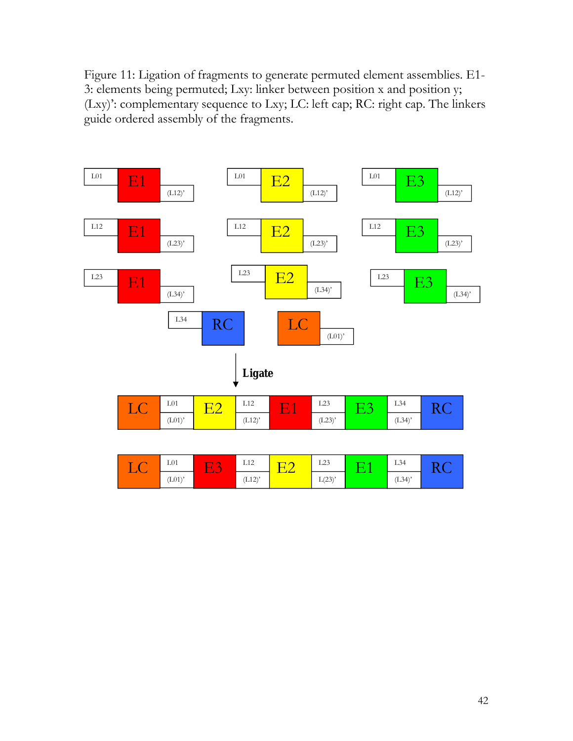Figure 11: Ligation of fragments to generate permuted element assemblies. E1- 3: elements being permuted; Lxy: linker between position x and position y; (Lxy)': complementary sequence to Lxy; LC: left cap; RC: right cap. The linkers guide ordered assembly of the fragments.

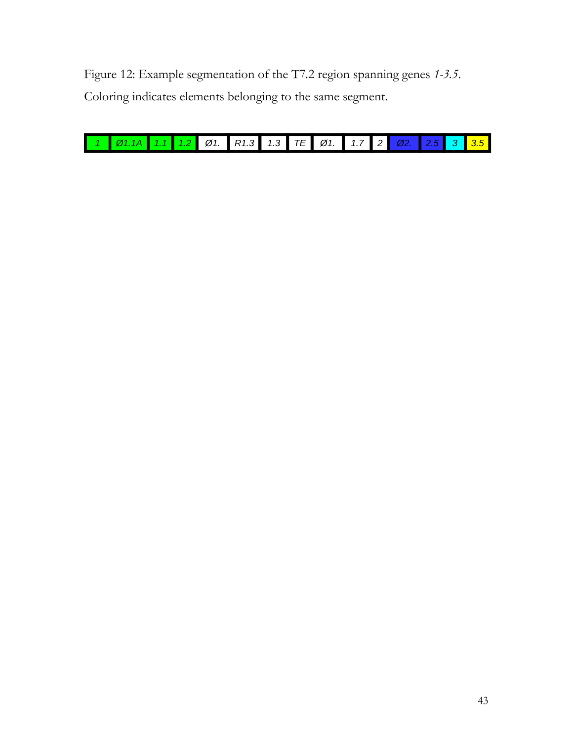Figure 12: Example segmentation of the T7.2 region spanning genes *1-3.5*. Coloring indicates elements belonging to the same segment.

| 1 01.14 1.1 1.2 01. R1.3 1.3 TE 01. 1.7 2 02. 2.5 3 3.5 |  |  |  |  |  |  |  |
|---------------------------------------------------------|--|--|--|--|--|--|--|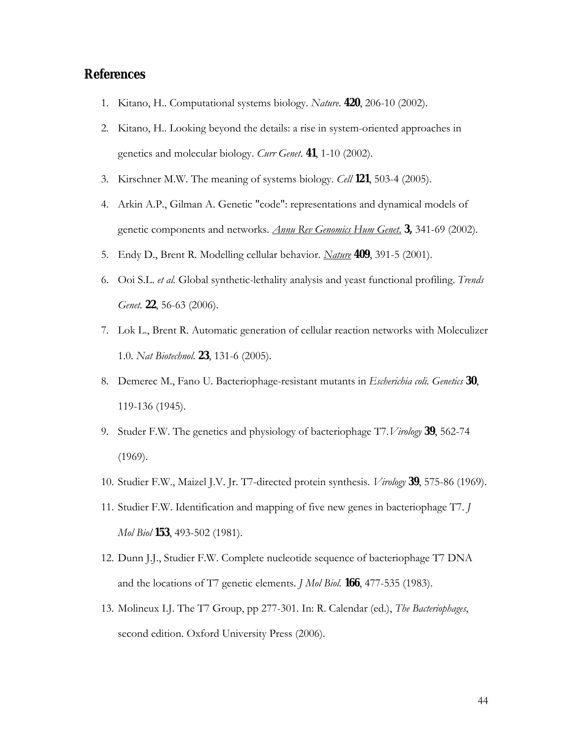# **References**

- 1. Kitano, H.. Computational systems biology. *Nature*. **420**, 206-10 (2002).
- 2. Kitano, H.. Looking beyond the details: a rise in system-oriented approaches in genetics and molecular biology. *Curr Genet*. **41**, 1-10 (2002).
- 3. Kirschner M.W. The meaning of systems biology. *Cell* **121**, 503-4 (2005).
- 4. Arkin A.P., Gilman A. Genetic "code": representations and dynamical models of genetic components and networks. *Annu Rev Genomics Hum Genet*. **3,** 341-69 (2002).
- 5. Endy D., Brent R. Modelling cellular behavior. *Nature* **409**, 391-5 (2001).
- 6. Ooi S.L. *et al.* Global synthetic-lethality analysis and yeast functional profiling. *Trends Genet.* **22**, 56-63 (2006).
- 7. Lok L., Brent R. Automatic generation of cellular reaction networks with Moleculizer 1.0. *Nat Biotechnol*. **23**, 131-6 (2005).
- 8. Demerec M., Fano U. Bacteriophage-resistant mutants in *Escherichia coli. Genetics* **30**, 119-136 (1945).
- 9. Studer F.W. The genetics and physiology of bacteriophage T7.*Virology* **39**, 562-74 (1969).
- 10. Studier F.W., Maizel J.V. Jr. T7-directed protein synthesis. *Virology* **39**, 575-86 (1969).
- 11. Studier F.W. Identification and mapping of five new genes in bacteriophage T7. *J Mol Biol* **153**, 493-502 (1981).
- 12. Dunn J.J., Studier F.W. Complete nucleotide sequence of bacteriophage T7 DNA and the locations of T7 genetic elements. *J Mol Biol.* **166**, 477-535 (1983).
- 13. Molineux I.J. The T7 Group, pp 277-301. In: R. Calendar (ed.), *The Bacteriophages*, second edition. Oxford University Press (2006).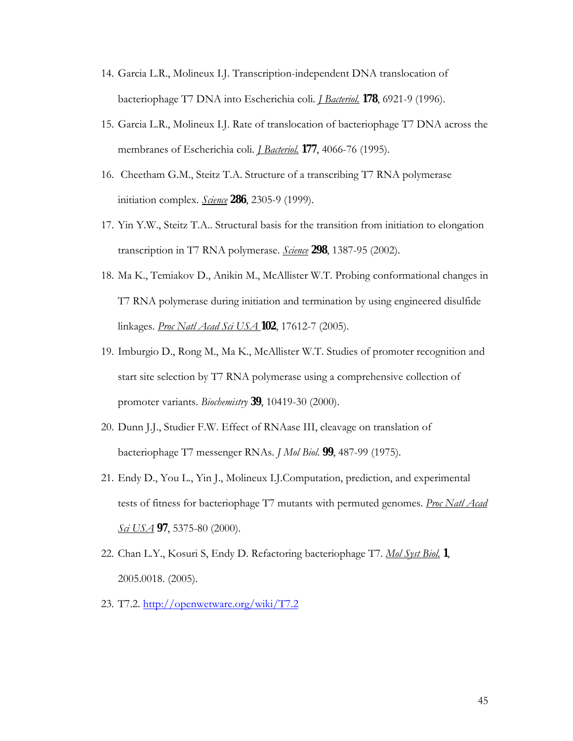- 14. Garcia L.R., Molineux I.J. Transcription-independent DNA translocation of bacteriophage T7 DNA into Escherichia coli. *J Bacteriol.* **178**, 6921-9 (1996).
- 15. Garcia L.R., Molineux I.J. Rate of translocation of bacteriophage T7 DNA across the membranes of Escherichia coli. *J Bacteriol.* **177**, 4066-76 (1995).
- 16. Cheetham G.M., Steitz T.A. Structure of a transcribing T7 RNA polymerase initiation complex. *Science* **286**, 2305-9 (1999).
- 17. Yin Y.W., Steitz T.A.. Structural basis for the transition from initiation to elongation transcription in T7 RNA polymerase. *Science* **298**, 1387-95 (2002).
- 18. Ma K., Temiakov D., Anikin M., McAllister W.T. Probing conformational changes in T7 RNA polymerase during initiation and termination by using engineered disulfide linkages. *Proc Natl Acad Sci USA* **102**, 17612-7 (2005).
- 19. Imburgio D., Rong M., Ma K., McAllister W.T. Studies of promoter recognition and start site selection by T7 RNA polymerase using a comprehensive collection of promoter variants. *Biochemistry* **39**, 10419-30 (2000).
- 20. Dunn J.J., Studier F.W. Effect of RNAase III, cleavage on translation of bacteriophage T7 messenger RNAs. *J Mol Biol*. **99**, 487-99 (1975).
- 21. Endy D., You L., Yin J., Molineux I.J.Computation, prediction, and experimental tests of fitness for bacteriophage T7 mutants with permuted genomes. *Proc Natl Acad Sci USA* **97**, 5375-80 (2000).
- 22. Chan L.Y., Kosuri S, Endy D. Refactoring bacteriophage T7. *Mol Syst Biol.* **1**, 2005.0018. (2005).
- 23. T7.2. http://openwetware.org/wiki/T7.2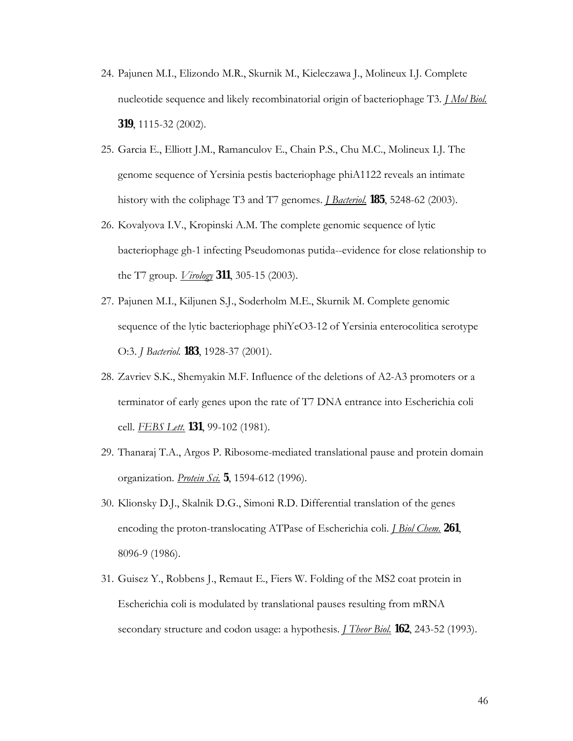- 24. Pajunen M.I., Elizondo M.R., Skurnik M., Kieleczawa J., Molineux I.J. Complete nucleotide sequence and likely recombinatorial origin of bacteriophage T3. *J Mol Biol.* **319**, 1115-32 (2002).
- 25. Garcia E., Elliott J.M., Ramanculov E., Chain P.S., Chu M.C., Molineux I.J. The genome sequence of Yersinia pestis bacteriophage phiA1122 reveals an intimate history with the coliphage T3 and T7 genomes. *J Bacteriol.* **185**, 5248-62 (2003).
- 26. Kovalyova I.V., Kropinski A.M. The complete genomic sequence of lytic bacteriophage gh-1 infecting Pseudomonas putida--evidence for close relationship to the T7 group. *Virology* **311**, 305-15 (2003).
- 27. Pajunen M.I., Kiljunen S.J., Soderholm M.E., Skurnik M. Complete genomic sequence of the lytic bacteriophage phiYeO3-12 of Yersinia enterocolitica serotype O:3. *J Bacteriol.* **183**, 1928-37 (2001).
- 28. Zavriev S.K., Shemyakin M.F. Influence of the deletions of A2-A3 promoters or a terminator of early genes upon the rate of T7 DNA entrance into Escherichia coli cell. *FEBS Lett.* **131**, 99-102 (1981).
- 29. Thanaraj T.A., Argos P. Ribosome-mediated translational pause and protein domain organization. *Protein Sci.* **5**, 1594-612 (1996).
- 30. Klionsky D.J., Skalnik D.G., Simoni R.D. Differential translation of the genes encoding the proton-translocating ATPase of Escherichia coli. *J Biol Chem.* **261**, 8096-9 (1986).
- 31. Guisez Y., Robbens J., Remaut E., Fiers W. Folding of the MS2 coat protein in Escherichia coli is modulated by translational pauses resulting from mRNA secondary structure and codon usage: a hypothesis. *J Theor Biol.* **162**, 243-52 (1993).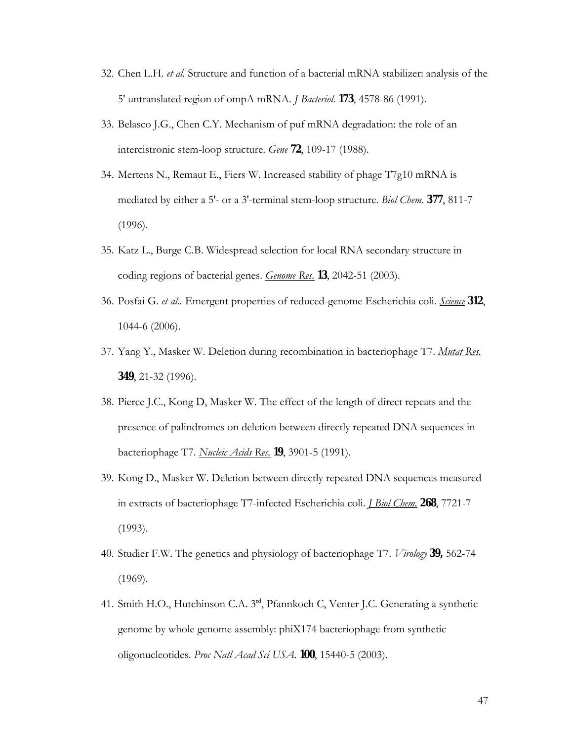- 32. Chen L.H. *et al.* Structure and function of a bacterial mRNA stabilizer: analysis of the 5' untranslated region of ompA mRNA. *J Bacteriol.* **173**, 4578-86 (1991).
- 33. Belasco J.G., Chen C.Y. Mechanism of puf mRNA degradation: the role of an intercistronic stem-loop structure. *Gene* **72**, 109-17 (1988).
- 34. Mertens N., Remaut E., Fiers W. Increased stability of phage T7g10 mRNA is mediated by either a 5'- or a 3'-terminal stem-loop structure. *Biol Chem.* **377**, 811-7 (1996).
- 35. Katz L., Burge C.B. Widespread selection for local RNA secondary structure in coding regions of bacterial genes. *Genome Res.* **13**, 2042-51 (2003).
- 36. Posfai G. *et al..* Emergent properties of reduced-genome Escherichia coli. *Science* **312**, 1044-6 (2006).
- 37. Yang Y., Masker W. Deletion during recombination in bacteriophage T7. *Mutat Res.* **349**, 21-32 (1996).
- 38. Pierce J.C., Kong D, Masker W. The effect of the length of direct repeats and the presence of palindromes on deletion between directly repeated DNA sequences in bacteriophage T7. *Nucleic Acids Res.* **19**, 3901-5 (1991).
- 39. Kong D., Masker W. Deletion between directly repeated DNA sequences measured in extracts of bacteriophage T7-infected Escherichia coli. *J Biol Chem.* **268**, 7721-7 (1993).
- 40. Studier F.W. The genetics and physiology of bacteriophage T7. *Virology* **39,** 562-74 (1969).
- 41. Smith H.O., Hutchinson C.A. 3<sup>rd</sup>, Pfannkoch C, Venter J.C. Generating a synthetic genome by whole genome assembly: phiX174 bacteriophage from synthetic oligonucleotides. *Proc Natl Acad Sci USA*. **100**, 15440-5 (2003).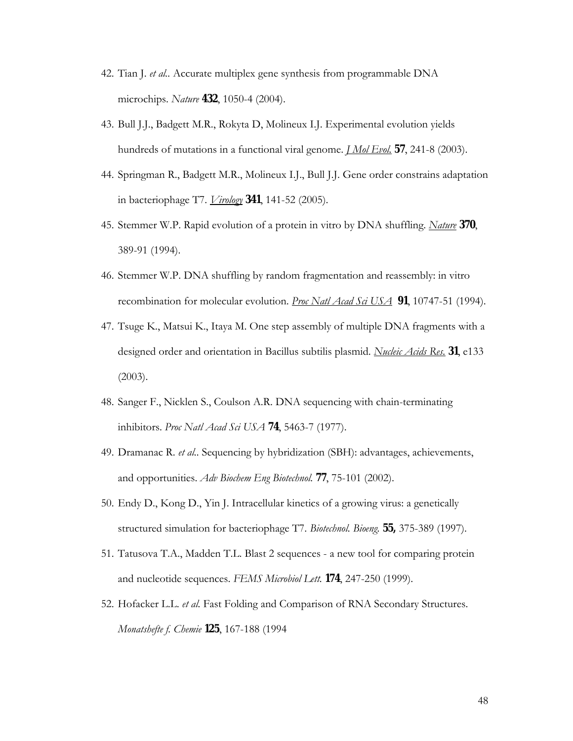- 42. Tian J. *et al..* Accurate multiplex gene synthesis from programmable DNA microchips. *Nature* **432**, 1050-4 (2004).
- 43. Bull J.J., Badgett M.R., Rokyta D, Molineux I.J. Experimental evolution yields hundreds of mutations in a functional viral genome. *J Mol Evol.* **57**, 241-8 (2003).
- 44. Springman R., Badgett M.R., Molineux I.J., Bull J.J. Gene order constrains adaptation in bacteriophage T7. *Virology* **341**, 141-52 (2005).
- 45. Stemmer W.P. Rapid evolution of a protein in vitro by DNA shuffling. *Nature* **370**, 389-91 (1994).
- 46. Stemmer W.P. DNA shuffling by random fragmentation and reassembly: in vitro recombination for molecular evolution. *Proc Natl Acad Sci USA* **91**, 10747-51 (1994).
- 47. Tsuge K., Matsui K., Itaya M. One step assembly of multiple DNA fragments with a designed order and orientation in Bacillus subtilis plasmid. *Nucleic Acids Res.* **31**, e133 (2003).
- 48. Sanger F., Nicklen S., Coulson A.R. DNA sequencing with chain-terminating inhibitors. *Proc Natl Acad Sci USA* **74**, 5463-7 (1977).
- 49. Dramanac R. *et al..* Sequencing by hybridization (SBH): advantages, achievements, and opportunities. *Adv Biochem Eng Biotechnol.* **77**, 75-101 (2002).
- 50. Endy D., Kong D., Yin J. Intracellular kinetics of a growing virus: a genetically structured simulation for bacteriophage T7. *Biotechnol. Bioeng.* **55,** 375-389 (1997).
- 51. Tatusova T.A., Madden T.L. Blast 2 sequences a new tool for comparing protein and nucleotide sequences. *FEMS Microbiol Lett.* **174**, 247-250 (1999).
- 52. Hofacker L.L. *et al.* Fast Folding and Comparison of RNA Secondary Structures. *Monatshefte f. Chemie* **125**, 167-188 (1994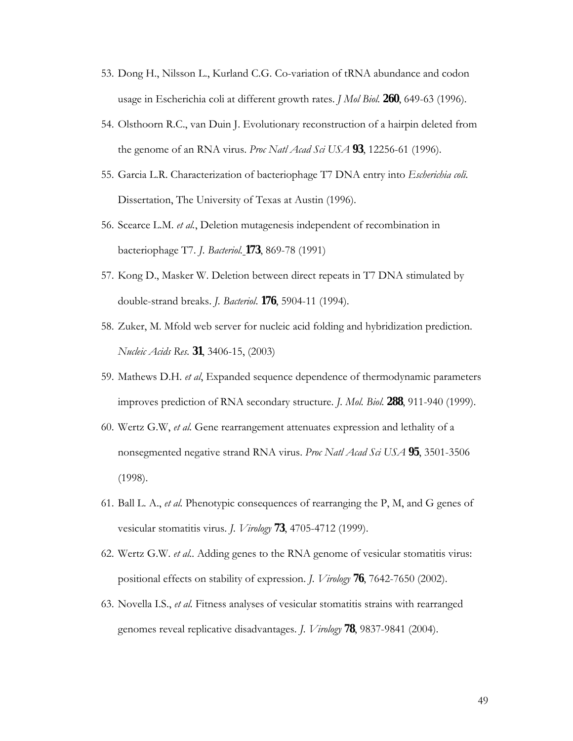- 53. Dong H., Nilsson L., Kurland C.G. Co-variation of tRNA abundance and codon usage in Escherichia coli at different growth rates. *J Mol Biol.* **260**, 649-63 (1996).
- 54. Olsthoorn R.C., van Duin J. Evolutionary reconstruction of a hairpin deleted from the genome of an RNA virus. *Proc Natl Acad Sci USA* **93**, 12256-61 (1996).
- 55. Garcia L.R. Characterization of bacteriophage T7 DNA entry into *Escherichia coli.*  Dissertation, The University of Texas at Austin (1996).
- 56. Scearce L.M. *et al.*, Deletion mutagenesis independent of recombination in bacteriophage T7. *J. Bacteriol.* **173**, 869-78 (1991)
- 57. Kong D., Masker W. Deletion between direct repeats in T7 DNA stimulated by double-strand breaks. *J. Bacteriol*. **176**, 5904-11 (1994).
- 58. Zuker, M. Mfold web server for nucleic acid folding and hybridization prediction. *Nucleic Acids Res.* **31**, 3406-15, (2003)
- 59. Mathews D.H. *et al*, Expanded sequence dependence of thermodynamic parameters improves prediction of RNA secondary structure. *J. Mol. Biol.* **288**, 911-940 (1999).
- 60. Wertz G.W, *et al.* Gene rearrangement attenuates expression and lethality of a nonsegmented negative strand RNA virus. *Proc Natl Acad Sci USA* **95**, 3501-3506 (1998).
- 61. Ball L. A., *et al.* Phenotypic consequences of rearranging the P, M, and G genes of vesicular stomatitis virus. *J. Virology* **73**, 4705-4712 (1999).
- 62. Wertz G.W. *et al..* Adding genes to the RNA genome of vesicular stomatitis virus: positional effects on stability of expression. *J. Virology* **76**, 7642-7650 (2002).
- 63. Novella I.S., *et al.* Fitness analyses of vesicular stomatitis strains with rearranged genomes reveal replicative disadvantages. *J. Virology* **78**, 9837-9841 (2004).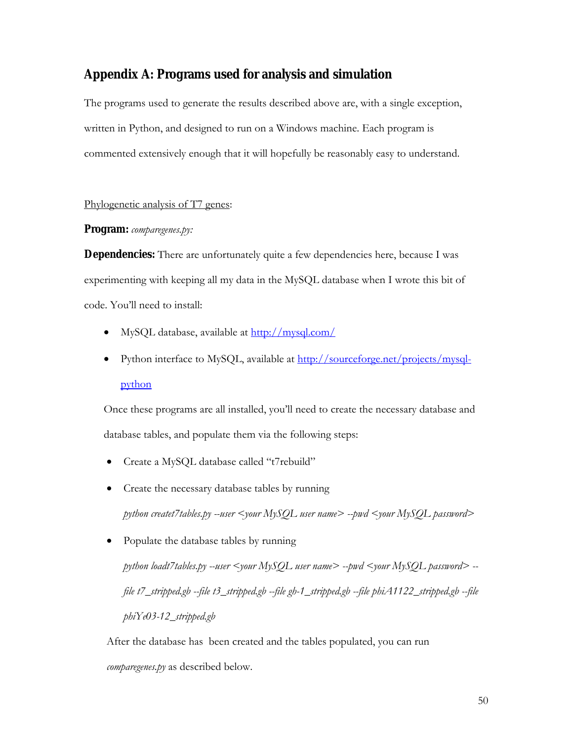# **Appendix A: Programs used for analysis and simulation**

The programs used to generate the results described above are, with a single exception, written in Python, and designed to run on a Windows machine. Each program is commented extensively enough that it will hopefully be reasonably easy to understand.

### Phylogenetic analysis of T7 genes:

### **Program:** *comparegenes.py:*

**Dependencies:** There are unfortunately quite a few dependencies here, because I was experimenting with keeping all my data in the MySQL database when I wrote this bit of code. You'll need to install:

- MySQL database, available at http://mysql.com/
- Python interface to MySQL, available at http://sourceforge.net/projects/mysqlpython

Once these programs are all installed, you'll need to create the necessary database and database tables, and populate them via the following steps:

- Create a MySQL database called "t7rebuild"
- Create the necessary database tables by running *python createt7tables.py --user <your MySQL user name> --pwd <your MySQL password>*
- Populate the database tables by running *python loadt7tables.py --user <your MySQL user name> --pwd <your MySQL password> - file t7\_stripped.gb --file t3\_stripped.gb --file gh-1\_stripped.gb --file phiA1122\_stripped.gb --file phiYe03-12\_stripped.gb*

After the database has been created and the tables populated, you can run *comparegenes.py* as described below.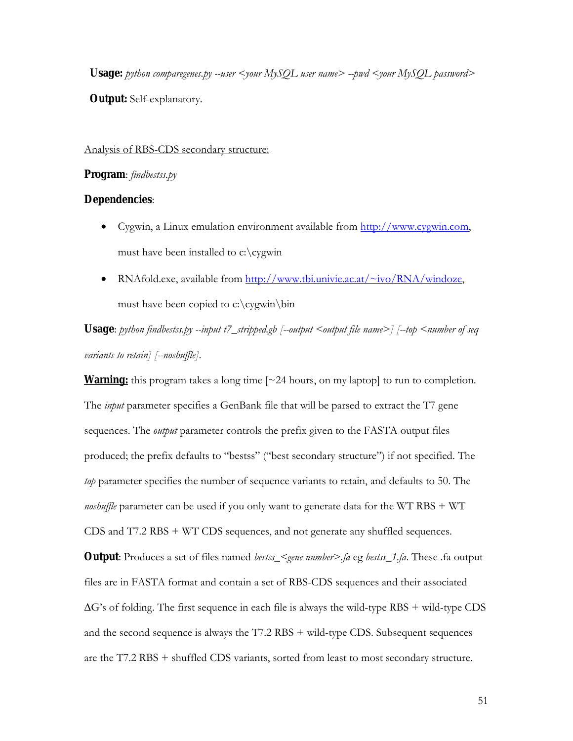**Usage:** *python comparegenes.py --user <your MySQL user name> --pwd <your MySQL password>* **Output:** Self-explanatory.

#### Analysis of RBS-CDS secondary structure:

### **Program**: *findbestss.py*

### **Dependencies**:

- Cygwin, a Linux emulation environment available from http://www.cygwin.com, must have been installed to c:\cygwin
- RNAfold.exe, available from http://www.tbi.univie.ac.at/~ivo/RNA/windoze, must have been copied to c:\cygwin\bin

Usage: *python findbestss.py --input t7\_stripped.gb [--output <output file name>] [--top <number of seq variants to retain] [--noshuffle]*.

**Warning:** this program takes a long time [~24 hours, on my laptop] to run to completion. The *input* parameter specifies a GenBank file that will be parsed to extract the T7 gene sequences. The *output* parameter controls the prefix given to the FASTA output files produced; the prefix defaults to "bestss" ("best secondary structure") if not specified. The *top* parameter specifies the number of sequence variants to retain, and defaults to 50. The *noshuffle* parameter can be used if you only want to generate data for the WT RBS + WT CDS and T7.2 RBS + WT CDS sequences, and not generate any shuffled sequences. **Output**: Produces a set of files named *bestss\_<gene number>.fa* eg *bestss\_1.fa*. These .fa output files are in FASTA format and contain a set of RBS-CDS sequences and their associated  $\Delta G$ 's of folding. The first sequence in each file is always the wild-type RBS + wild-type CDS and the second sequence is always the T7.2 RBS + wild-type CDS. Subsequent sequences are the T7.2 RBS + shuffled CDS variants, sorted from least to most secondary structure.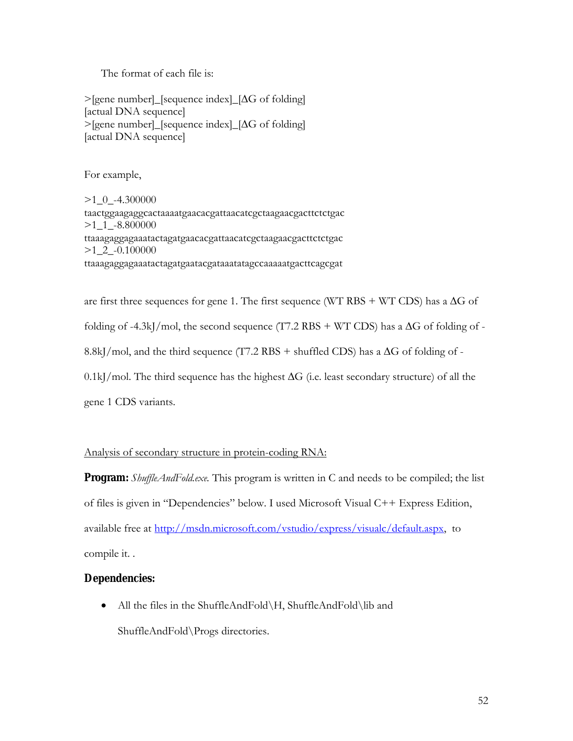The format of each file is:

>[gene number]\_[sequence index]\_[∆G of folding] [actual DNA sequence] >[gene number]\_[sequence index]\_[∆G of folding] [actual DNA sequence]

For example,

>1\_0\_-4.300000 taactggaagaggcactaaaatgaacacgattaacatcgctaagaacgacttctctgac >1\_1\_-8.800000 ttaaagaggagaaatactagatgaacacgattaacatcgctaagaacgacttctctgac >1\_2\_-0.100000 ttaaagaggagaaatactagatgaatacgataaatatagccaaaaatgacttcagcgat

are first three sequences for gene 1. The first sequence (WT RBS + WT CDS) has a  $\Delta G$  of folding of -4.3kJ/mol, the second sequence (T7.2 RBS + WT CDS) has a  $\Delta G$  of folding of -8.8kJ/mol, and the third sequence (T7.2 RBS + shuffled CDS) has a  $\Delta G$  of folding of -0.1kJ/mol. The third sequence has the highest ∆G (i.e. least secondary structure) of all the gene 1 CDS variants.

### Analysis of secondary structure in protein-coding RNA:

**Program:** *ShuffleAndFold.exe.* This program is written in C and needs to be compiled; the list of files is given in "Dependencies" below. I used Microsoft Visual C++ Express Edition, available free at <u>http://msdn.microsoft.com/vstudio/express/visualc/default.aspx</u>, to compile it. .

### **Dependencies:**

• All the files in the ShuffleAndFold\H, ShuffleAndFold\lib and ShuffleAndFold\Progs directories.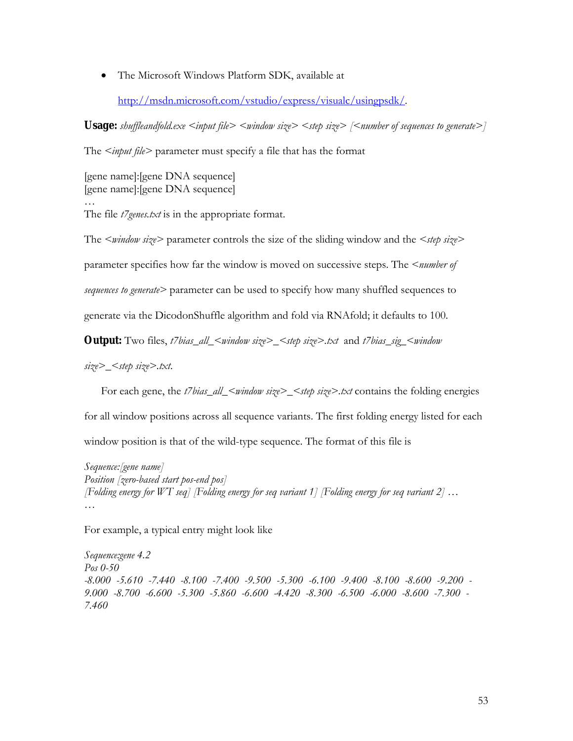The Microsoft Windows Platform SDK, available at

http://msdn.microsoft.com/vstudio/express/visualc/usingpsdk/.

Usage: *shuffleandfold.exe <input file> <window size> <step size> [<number of sequences to generate>]* 

The *<input file>* parameter must specify a file that has the format

[gene name]:[gene DNA sequence] [gene name]:[gene DNA sequence] …

The file *t7genes.txt* is in the appropriate format.

The *<window size>* parameter controls the size of the sliding window and the *<step size>* 

parameter specifies how far the window is moved on successive steps. The *<number of* 

*sequences to generate>* parameter can be used to specify how many shuffled sequences to

generate via the DicodonShuffle algorithm and fold via RNAfold; it defaults to 100.

**Output:** Two files, *t7bias\_all\_<window size>\_<step size>.txt* and *t7bias\_sig\_<window* 

*size>\_<step size>.txt*.

For each gene, the *t7bias\_all\_<window size>\_<step size>.txt* contains the folding energies

for all window positions across all sequence variants. The first folding energy listed for each

window position is that of the wild-type sequence. The format of this file is

*Sequence:[gene name] Position [zero-based start pos-end pos] [Folding energy for WT seq] [Folding energy for seq variant 1] [Folding energy for seq variant 2] … …*

For example, a typical entry might look like

*Sequence:gene 4.2 Pos 0-50 -8.000 -5.610 -7.440 -8.100 -7.400 -9.500 -5.300 -6.100 -9.400 -8.100 -8.600 -9.200 - 9.000 -8.700 -6.600 -5.300 -5.860 -6.600 -4.420 -8.300 -6.500 -6.000 -8.600 -7.300 - 7.460*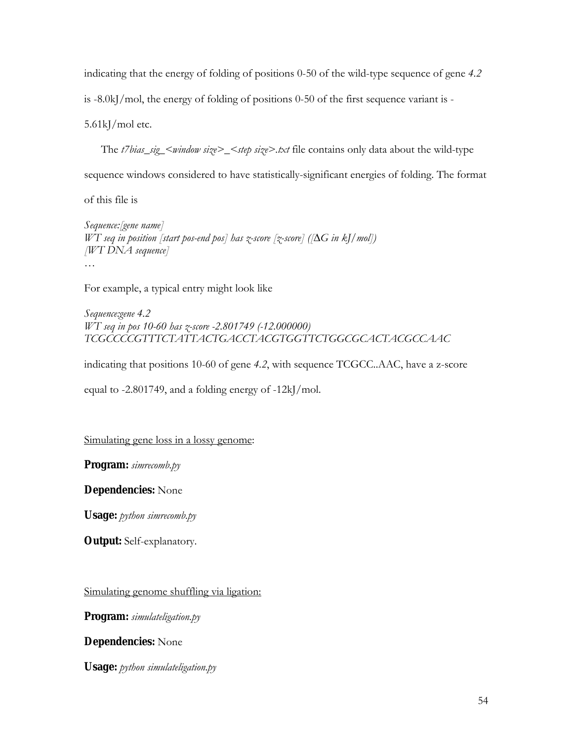indicating that the energy of folding of positions 0-50 of the wild-type sequence of gene *4.2*

is -8.0kJ/mol, the energy of folding of positions 0-50 of the first sequence variant is -

5.61kJ/mol etc.

The *t7bias\_sig\_<window size>\_<step size>.txt* file contains only data about the wild-type

sequence windows considered to have statistically-significant energies of folding. The format

of this file is

*Sequence:[gene name] WT seq in position [start pos-end pos] has z-score [z-score] ([∆G in kJ/mol]) [WT DNA sequence] …* 

For example, a typical entry might look like

*Sequence:gene 4.2 WT seq in pos 10-60 has z-score -2.801749 (-12.000000) TCGCCCCGTTTCTATTACTGACCTACGTGGTTCTGGCGCACTACGCCAAC*

indicating that positions 10-60 of gene *4.2*, with sequence TCGCC..AAC, have a z-score

equal to -2.801749, and a folding energy of -12kJ/mol.

Simulating gene loss in a lossy genome:

**Program:** *simrecomb.py*

**Dependencies:** None

**Usage:** *python simrecomb.py*

**Output:** Self-explanatory.

Simulating genome shuffling via ligation:

**Program:** *simulateligation.py*

**Dependencies:** None

**Usage:** *python simulateligation.py*